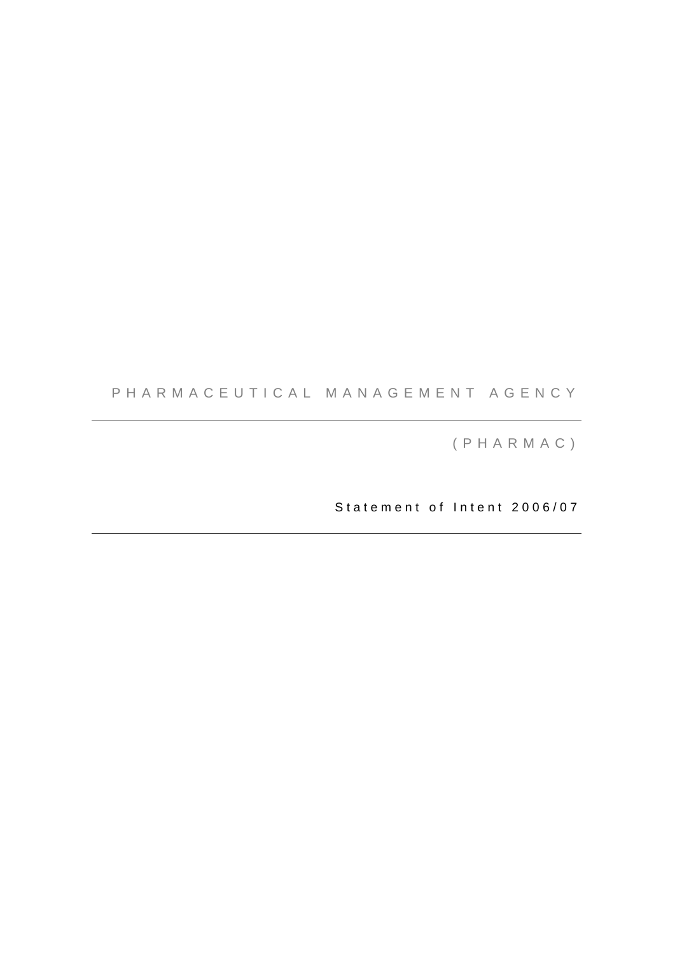# PHARMACEUTICAL MANAGEMENT AGENCY

(PHARMAC)

Statement of Intent 2006/07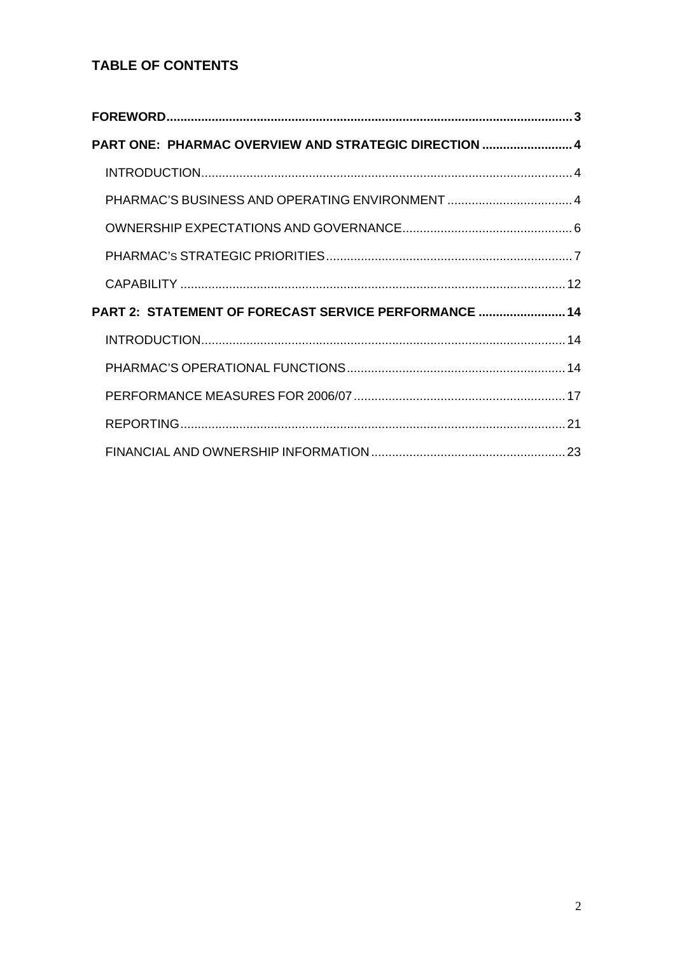# **TABLE OF CONTENTS**

| PART ONE: PHARMAC OVERVIEW AND STRATEGIC DIRECTION  4 |  |
|-------------------------------------------------------|--|
|                                                       |  |
|                                                       |  |
|                                                       |  |
|                                                       |  |
|                                                       |  |
| PART 2: STATEMENT OF FORECAST SERVICE PERFORMANCE  14 |  |
|                                                       |  |
|                                                       |  |
|                                                       |  |
|                                                       |  |
|                                                       |  |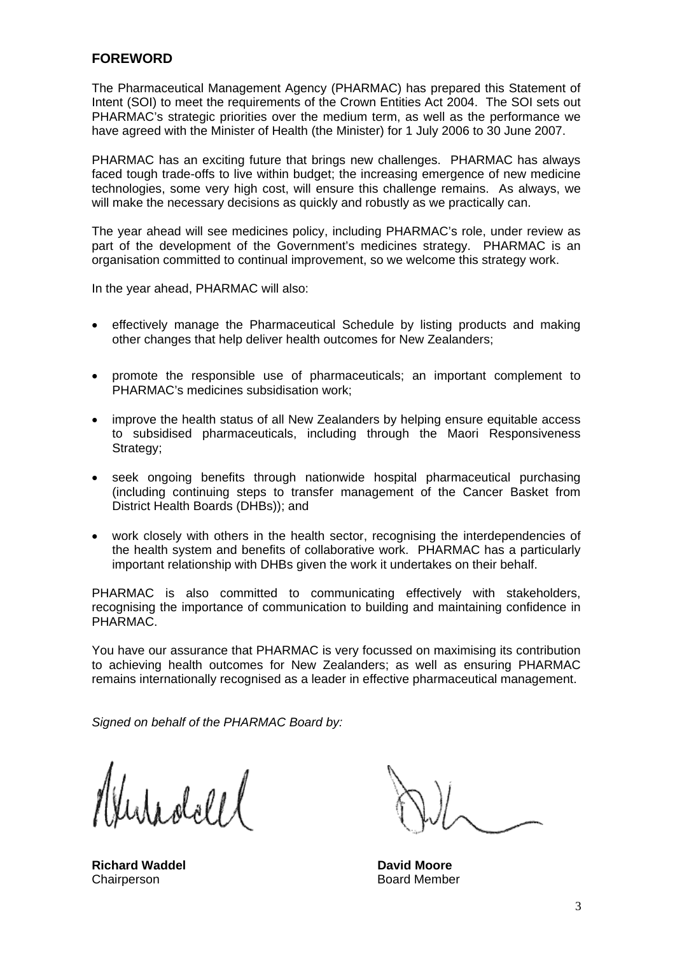## **FOREWORD**

The Pharmaceutical Management Agency (PHARMAC) has prepared this Statement of Intent (SOI) to meet the requirements of the Crown Entities Act 2004. The SOI sets out PHARMAC's strategic priorities over the medium term, as well as the performance we have agreed with the Minister of Health (the Minister) for 1 July 2006 to 30 June 2007.

PHARMAC has an exciting future that brings new challenges. PHARMAC has always faced tough trade-offs to live within budget; the increasing emergence of new medicine technologies, some very high cost, will ensure this challenge remains. As always, we will make the necessary decisions as quickly and robustly as we practically can.

The year ahead will see medicines policy, including PHARMAC's role, under review as part of the development of the Government's medicines strategy. PHARMAC is an organisation committed to continual improvement, so we welcome this strategy work.

In the year ahead, PHARMAC will also:

- effectively manage the Pharmaceutical Schedule by listing products and making other changes that help deliver health outcomes for New Zealanders;
- promote the responsible use of pharmaceuticals; an important complement to PHARMAC's medicines subsidisation work;
- improve the health status of all New Zealanders by helping ensure equitable access to subsidised pharmaceuticals, including through the Maori Responsiveness Strategy;
- seek ongoing benefits through nationwide hospital pharmaceutical purchasing (including continuing steps to transfer management of the Cancer Basket from District Health Boards (DHBs)); and
- work closely with others in the health sector, recognising the interdependencies of the health system and benefits of collaborative work. PHARMAC has a particularly important relationship with DHBs given the work it undertakes on their behalf.

PHARMAC is also committed to communicating effectively with stakeholders, recognising the importance of communication to building and maintaining confidence in PHARMAC.

You have our assurance that PHARMAC is very focussed on maximising its contribution to achieving health outcomes for New Zealanders; as well as ensuring PHARMAC remains internationally recognised as a leader in effective pharmaceutical management.

*Signed on behalf of the PHARMAC Board by:* 

را امام دار

**Richard Waddel Community Community Property David Moore** Chairperson **Board Member**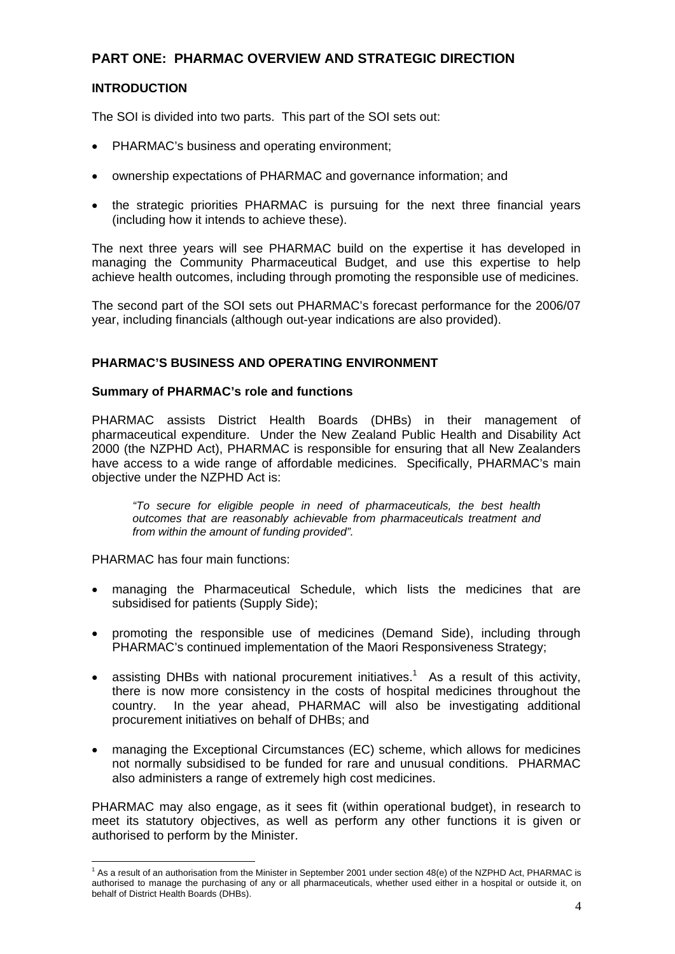# **PART ONE: PHARMAC OVERVIEW AND STRATEGIC DIRECTION**

## **INTRODUCTION**

The SOI is divided into two parts. This part of the SOI sets out:

- PHARMAC's business and operating environment;
- ownership expectations of PHARMAC and governance information; and
- the strategic priorities PHARMAC is pursuing for the next three financial years (including how it intends to achieve these).

The next three years will see PHARMAC build on the expertise it has developed in managing the Community Pharmaceutical Budget, and use this expertise to help achieve health outcomes, including through promoting the responsible use of medicines.

The second part of the SOI sets out PHARMAC's forecast performance for the 2006/07 year, including financials (although out-year indications are also provided).

### **PHARMAC'S BUSINESS AND OPERATING ENVIRONMENT**

### **Summary of PHARMAC's role and functions**

PHARMAC assists District Health Boards (DHBs) in their management of pharmaceutical expenditure. Under the New Zealand Public Health and Disability Act 2000 (the NZPHD Act), PHARMAC is responsible for ensuring that all New Zealanders have access to a wide range of affordable medicines. Specifically, PHARMAC's main objective under the NZPHD Act is:

*"To secure for eligible people in need of pharmaceuticals, the best health outcomes that are reasonably achievable from pharmaceuticals treatment and from within the amount of funding provided".* 

PHARMAC has four main functions:

- managing the Pharmaceutical Schedule, which lists the medicines that are subsidised for patients (Supply Side);
- promoting the responsible use of medicines (Demand Side), including through PHARMAC's continued implementation of the Maori Responsiveness Strategy;
- assisting DHBs with national procurement initiatives.<sup>1</sup> As a result of this activity, there is now more consistency in the costs of hospital medicines throughout the country. In the year ahead, PHARMAC will also be investigating additional procurement initiatives on behalf of DHBs; and
- managing the Exceptional Circumstances (EC) scheme, which allows for medicines not normally subsidised to be funded for rare and unusual conditions. PHARMAC also administers a range of extremely high cost medicines.

PHARMAC may also engage, as it sees fit (within operational budget), in research to meet its statutory objectives, as well as perform any other functions it is given or authorised to perform by the Minister.

 1 As a result of an authorisation from the Minister in September 2001 under section 48(e) of the NZPHD Act, PHARMAC is authorised to manage the purchasing of any or all pharmaceuticals, whether used either in a hospital or outside it, on behalf of District Health Boards (DHBs).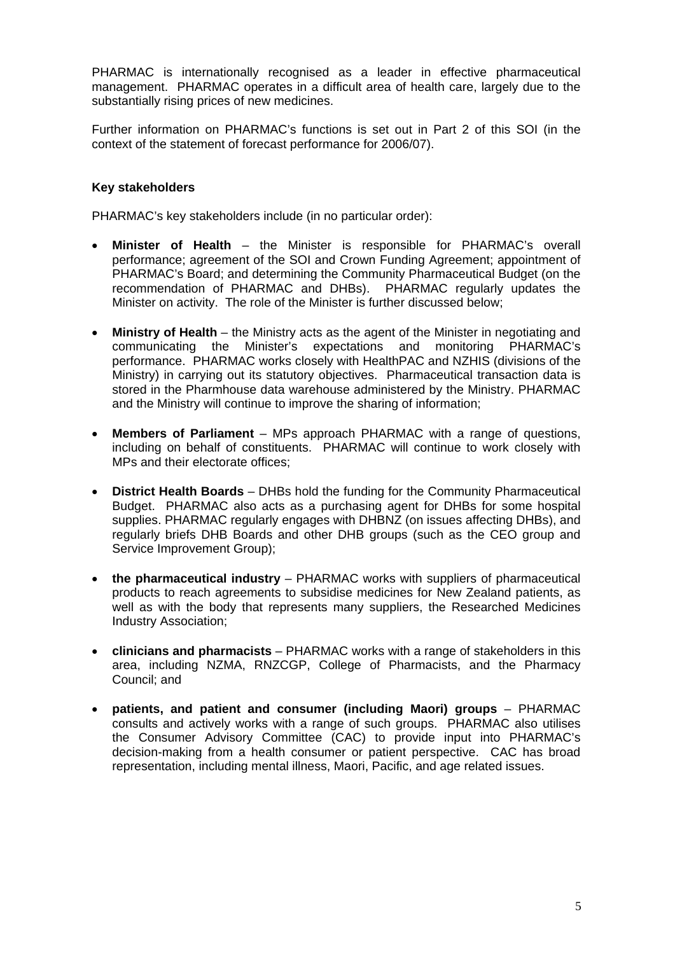PHARMAC is internationally recognised as a leader in effective pharmaceutical management. PHARMAC operates in a difficult area of health care, largely due to the substantially rising prices of new medicines.

Further information on PHARMAC's functions is set out in Part 2 of this SOI (in the context of the statement of forecast performance for 2006/07).

### **Key stakeholders**

PHARMAC's key stakeholders include (in no particular order):

- **Minister of Health** the Minister is responsible for PHARMAC's overall performance; agreement of the SOI and Crown Funding Agreement; appointment of PHARMAC's Board; and determining the Community Pharmaceutical Budget (on the recommendation of PHARMAC and DHBs). PHARMAC regularly updates the Minister on activity. The role of the Minister is further discussed below;
- **Ministry of Health** the Ministry acts as the agent of the Minister in negotiating and communicating the Minister's expectations and monitoring PHARMAC's performance. PHARMAC works closely with HealthPAC and NZHIS (divisions of the Ministry) in carrying out its statutory objectives. Pharmaceutical transaction data is stored in the Pharmhouse data warehouse administered by the Ministry. PHARMAC and the Ministry will continue to improve the sharing of information;
- **Members of Parliament** MPs approach PHARMAC with a range of questions, including on behalf of constituents. PHARMAC will continue to work closely with MPs and their electorate offices;
- **District Health Boards** DHBs hold the funding for the Community Pharmaceutical Budget. PHARMAC also acts as a purchasing agent for DHBs for some hospital supplies. PHARMAC regularly engages with DHBNZ (on issues affecting DHBs), and regularly briefs DHB Boards and other DHB groups (such as the CEO group and Service Improvement Group);
- **the pharmaceutical industry** PHARMAC works with suppliers of pharmaceutical products to reach agreements to subsidise medicines for New Zealand patients, as well as with the body that represents many suppliers, the Researched Medicines Industry Association;
- **clinicians and pharmacists** PHARMAC works with a range of stakeholders in this area, including NZMA, RNZCGP, College of Pharmacists, and the Pharmacy Council; and
- **patients, and patient and consumer (including Maori) groups** PHARMAC consults and actively works with a range of such groups. PHARMAC also utilises the Consumer Advisory Committee (CAC) to provide input into PHARMAC's decision-making from a health consumer or patient perspective. CAC has broad representation, including mental illness, Maori, Pacific, and age related issues.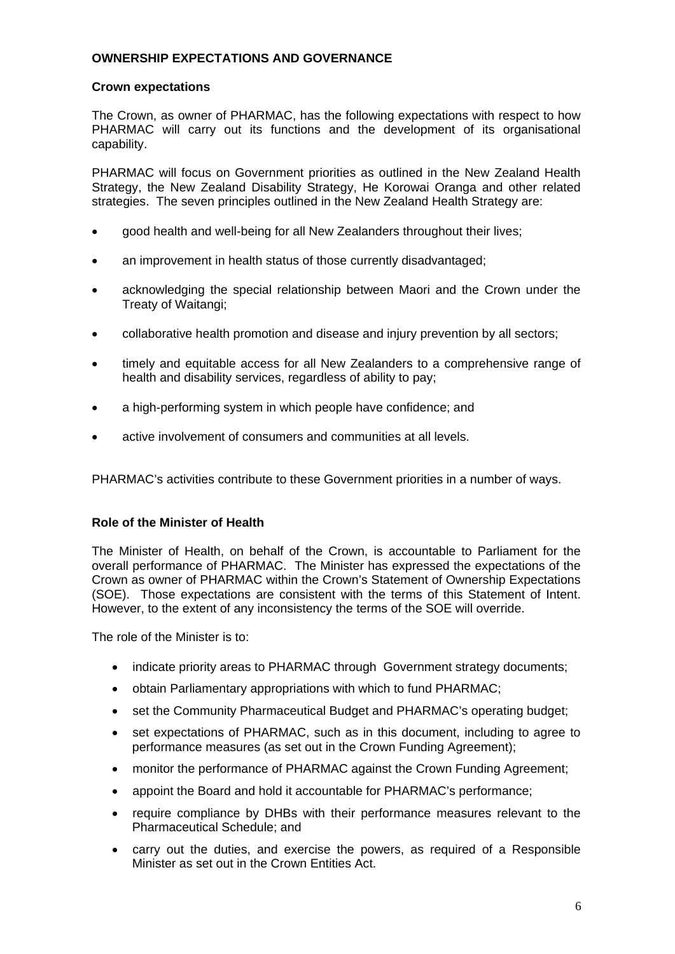### **OWNERSHIP EXPECTATIONS AND GOVERNANCE**

#### **Crown expectations**

The Crown, as owner of PHARMAC, has the following expectations with respect to how PHARMAC will carry out its functions and the development of its organisational capability.

PHARMAC will focus on Government priorities as outlined in the New Zealand Health Strategy, the New Zealand Disability Strategy, He Korowai Oranga and other related strategies. The seven principles outlined in the New Zealand Health Strategy are:

- good health and well-being for all New Zealanders throughout their lives;
- an improvement in health status of those currently disadvantaged;
- acknowledging the special relationship between Maori and the Crown under the Treaty of Waitangi;
- collaborative health promotion and disease and injury prevention by all sectors;
- timely and equitable access for all New Zealanders to a comprehensive range of health and disability services, regardless of ability to pay;
- a high-performing system in which people have confidence; and
- active involvement of consumers and communities at all levels.

PHARMAC's activities contribute to these Government priorities in a number of ways.

### **Role of the Minister of Health**

The Minister of Health, on behalf of the Crown, is accountable to Parliament for the overall performance of PHARMAC. The Minister has expressed the expectations of the Crown as owner of PHARMAC within the Crown's Statement of Ownership Expectations (SOE). Those expectations are consistent with the terms of this Statement of Intent. However, to the extent of any inconsistency the terms of the SOE will override.

The role of the Minister is to:

- indicate priority areas to PHARMAC through Government strategy documents;
- obtain Parliamentary appropriations with which to fund PHARMAC;
- set the Community Pharmaceutical Budget and PHARMAC's operating budget;
- set expectations of PHARMAC, such as in this document, including to agree to performance measures (as set out in the Crown Funding Agreement);
- monitor the performance of PHARMAC against the Crown Funding Agreement:
- appoint the Board and hold it accountable for PHARMAC's performance;
- require compliance by DHBs with their performance measures relevant to the Pharmaceutical Schedule; and
- carry out the duties, and exercise the powers, as required of a Responsible Minister as set out in the Crown Entities Act.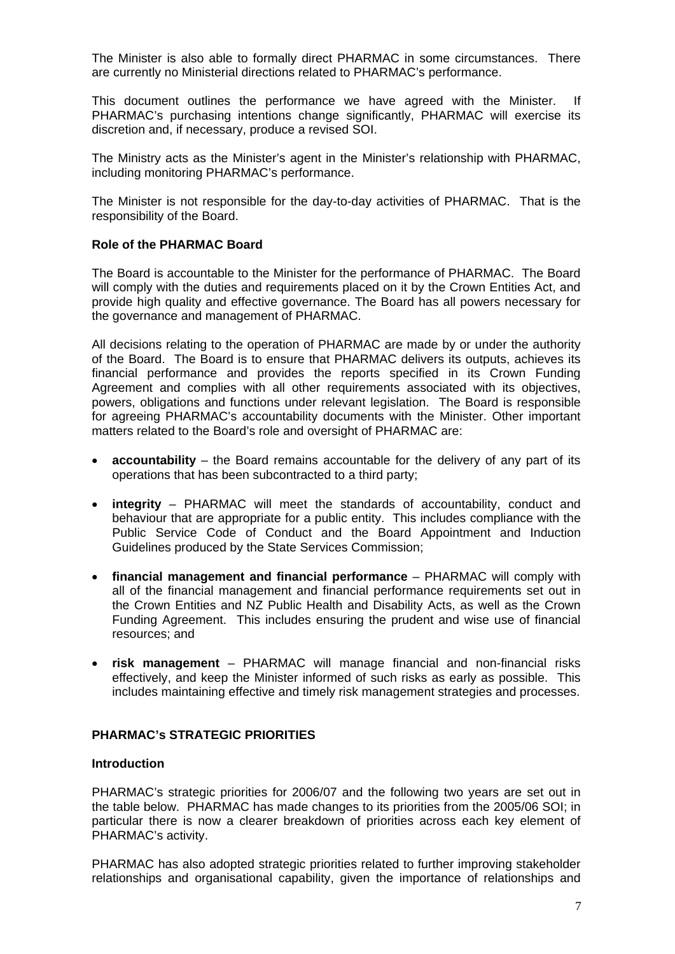The Minister is also able to formally direct PHARMAC in some circumstances. There are currently no Ministerial directions related to PHARMAC's performance.

This document outlines the performance we have agreed with the Minister. If PHARMAC's purchasing intentions change significantly, PHARMAC will exercise its discretion and, if necessary, produce a revised SOI.

The Ministry acts as the Minister's agent in the Minister's relationship with PHARMAC, including monitoring PHARMAC's performance.

The Minister is not responsible for the day-to-day activities of PHARMAC. That is the responsibility of the Board.

#### **Role of the PHARMAC Board**

The Board is accountable to the Minister for the performance of PHARMAC. The Board will comply with the duties and requirements placed on it by the Crown Entities Act, and provide high quality and effective governance. The Board has all powers necessary for the governance and management of PHARMAC.

All decisions relating to the operation of PHARMAC are made by or under the authority of the Board. The Board is to ensure that PHARMAC delivers its outputs, achieves its financial performance and provides the reports specified in its Crown Funding Agreement and complies with all other requirements associated with its objectives, powers, obligations and functions under relevant legislation. The Board is responsible for agreeing PHARMAC's accountability documents with the Minister. Other important matters related to the Board's role and oversight of PHARMAC are:

- **accountability** the Board remains accountable for the delivery of any part of its operations that has been subcontracted to a third party;
- **integrity** PHARMAC will meet the standards of accountability, conduct and behaviour that are appropriate for a public entity. This includes compliance with the Public Service Code of Conduct and the Board Appointment and Induction Guidelines produced by the State Services Commission;
- **financial management and financial performance**  PHARMAC will comply with all of the financial management and financial performance requirements set out in the Crown Entities and NZ Public Health and Disability Acts, as well as the Crown Funding Agreement. This includes ensuring the prudent and wise use of financial resources; and
- **risk management**  PHARMAC will manage financial and non-financial risks effectively, and keep the Minister informed of such risks as early as possible. This includes maintaining effective and timely risk management strategies and processes.

### **PHARMAC's STRATEGIC PRIORITIES**

#### **Introduction**

PHARMAC's strategic priorities for 2006/07 and the following two years are set out in the table below. PHARMAC has made changes to its priorities from the 2005/06 SOI; in particular there is now a clearer breakdown of priorities across each key element of PHARMAC's activity.

PHARMAC has also adopted strategic priorities related to further improving stakeholder relationships and organisational capability, given the importance of relationships and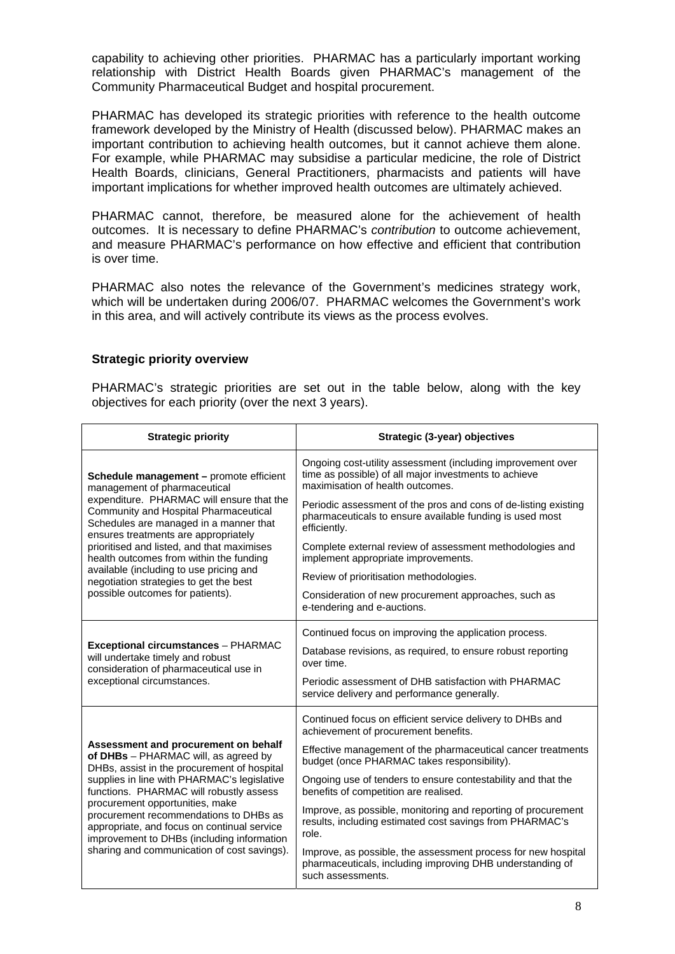capability to achieving other priorities. PHARMAC has a particularly important working relationship with District Health Boards given PHARMAC's management of the Community Pharmaceutical Budget and hospital procurement.

PHARMAC has developed its strategic priorities with reference to the health outcome framework developed by the Ministry of Health (discussed below). PHARMAC makes an important contribution to achieving health outcomes, but it cannot achieve them alone. For example, while PHARMAC may subsidise a particular medicine, the role of District Health Boards, clinicians, General Practitioners, pharmacists and patients will have important implications for whether improved health outcomes are ultimately achieved.

PHARMAC cannot, therefore, be measured alone for the achievement of health outcomes. It is necessary to define PHARMAC's *contribution* to outcome achievement, and measure PHARMAC's performance on how effective and efficient that contribution is over time.

PHARMAC also notes the relevance of the Government's medicines strategy work, which will be undertaken during 2006/07. PHARMAC welcomes the Government's work in this area, and will actively contribute its views as the process evolves.

#### **Strategic priority overview**

PHARMAC's strategic priorities are set out in the table below, along with the key objectives for each priority (over the next 3 years).

| <b>Strategic priority</b>                                                                                                                                                                                                                                        | Strategic (3-year) objectives                                                                                                                            |  |  |
|------------------------------------------------------------------------------------------------------------------------------------------------------------------------------------------------------------------------------------------------------------------|----------------------------------------------------------------------------------------------------------------------------------------------------------|--|--|
| Schedule management - promote efficient<br>management of pharmaceutical                                                                                                                                                                                          | Ongoing cost-utility assessment (including improvement over<br>time as possible) of all major investments to achieve<br>maximisation of health outcomes. |  |  |
| expenditure. PHARMAC will ensure that the<br>Community and Hospital Pharmaceutical<br>Schedules are managed in a manner that<br>ensures treatments are appropriately                                                                                             | Periodic assessment of the pros and cons of de-listing existing<br>pharmaceuticals to ensure available funding is used most<br>efficiently.              |  |  |
| prioritised and listed, and that maximises<br>health outcomes from within the funding                                                                                                                                                                            | Complete external review of assessment methodologies and<br>implement appropriate improvements.                                                          |  |  |
| available (including to use pricing and<br>negotiation strategies to get the best                                                                                                                                                                                | Review of prioritisation methodologies.                                                                                                                  |  |  |
| possible outcomes for patients).                                                                                                                                                                                                                                 | Consideration of new procurement approaches, such as<br>e-tendering and e-auctions.                                                                      |  |  |
|                                                                                                                                                                                                                                                                  | Continued focus on improving the application process.                                                                                                    |  |  |
| <b>Exceptional circumstances - PHARMAC</b><br>will undertake timely and robust<br>consideration of pharmaceutical use in                                                                                                                                         | Database revisions, as required, to ensure robust reporting<br>over time.                                                                                |  |  |
| exceptional circumstances.                                                                                                                                                                                                                                       | Periodic assessment of DHB satisfaction with PHARMAC<br>service delivery and performance generally.                                                      |  |  |
|                                                                                                                                                                                                                                                                  | Continued focus on efficient service delivery to DHBs and<br>achievement of procurement benefits.                                                        |  |  |
| Assessment and procurement on behalf<br>of DHBs - PHARMAC will, as agreed by<br>DHBs, assist in the procurement of hospital                                                                                                                                      | Effective management of the pharmaceutical cancer treatments<br>budget (once PHARMAC takes responsibility).                                              |  |  |
| supplies in line with PHARMAC's legislative<br>functions. PHARMAC will robustly assess<br>procurement opportunities, make<br>procurement recommendations to DHBs as<br>appropriate, and focus on continual service<br>improvement to DHBs (including information | Ongoing use of tenders to ensure contestability and that the<br>benefits of competition are realised.                                                    |  |  |
|                                                                                                                                                                                                                                                                  | Improve, as possible, monitoring and reporting of procurement<br>results, including estimated cost savings from PHARMAC's<br>role.                       |  |  |
| sharing and communication of cost savings).                                                                                                                                                                                                                      | Improve, as possible, the assessment process for new hospital<br>pharmaceuticals, including improving DHB understanding of<br>such assessments.          |  |  |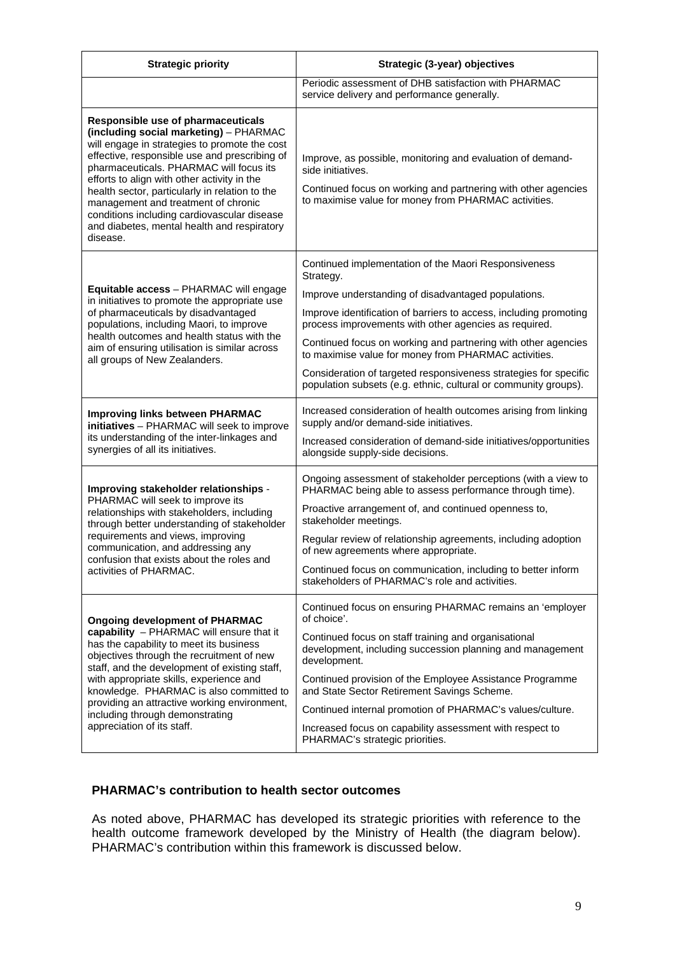| <b>Strategic priority</b>                                                                                                                                                                                                                                                                                                                                                                                                                                                   | Strategic (3-year) objectives                                                                                                                                                                                                                                                                                                                                                                                                                                                                                          |  |  |
|-----------------------------------------------------------------------------------------------------------------------------------------------------------------------------------------------------------------------------------------------------------------------------------------------------------------------------------------------------------------------------------------------------------------------------------------------------------------------------|------------------------------------------------------------------------------------------------------------------------------------------------------------------------------------------------------------------------------------------------------------------------------------------------------------------------------------------------------------------------------------------------------------------------------------------------------------------------------------------------------------------------|--|--|
|                                                                                                                                                                                                                                                                                                                                                                                                                                                                             | Periodic assessment of DHB satisfaction with PHARMAC<br>service delivery and performance generally.                                                                                                                                                                                                                                                                                                                                                                                                                    |  |  |
| Responsible use of pharmaceuticals<br>(including social marketing) - PHARMAC<br>will engage in strategies to promote the cost<br>effective, responsible use and prescribing of<br>pharmaceuticals. PHARMAC will focus its<br>efforts to align with other activity in the<br>health sector, particularly in relation to the<br>management and treatment of chronic<br>conditions including cardiovascular disease<br>and diabetes, mental health and respiratory<br>disease. | Improve, as possible, monitoring and evaluation of demand-<br>side initiatives.<br>Continued focus on working and partnering with other agencies<br>to maximise value for money from PHARMAC activities.                                                                                                                                                                                                                                                                                                               |  |  |
| Equitable access - PHARMAC will engage<br>in initiatives to promote the appropriate use<br>of pharmaceuticals by disadvantaged<br>populations, including Maori, to improve<br>health outcomes and health status with the<br>aim of ensuring utilisation is similar across<br>all groups of New Zealanders.                                                                                                                                                                  | Continued implementation of the Maori Responsiveness<br>Strategy.<br>Improve understanding of disadvantaged populations.<br>Improve identification of barriers to access, including promoting<br>process improvements with other agencies as required.<br>Continued focus on working and partnering with other agencies<br>to maximise value for money from PHARMAC activities.<br>Consideration of targeted responsiveness strategies for specific<br>population subsets (e.g. ethnic, cultural or community groups). |  |  |
| <b>Improving links between PHARMAC</b><br>initiatives - PHARMAC will seek to improve<br>its understanding of the inter-linkages and<br>synergies of all its initiatives.                                                                                                                                                                                                                                                                                                    | Increased consideration of health outcomes arising from linking<br>supply and/or demand-side initiatives.<br>Increased consideration of demand-side initiatives/opportunities<br>alongside supply-side decisions.                                                                                                                                                                                                                                                                                                      |  |  |
| Improving stakeholder relationships -<br>PHARMAC will seek to improve its<br>relationships with stakeholders, including<br>through better understanding of stakeholder<br>requirements and views, improving<br>communication, and addressing any<br>confusion that exists about the roles and<br>activities of PHARMAC.                                                                                                                                                     | Ongoing assessment of stakeholder perceptions (with a view to<br>PHARMAC being able to assess performance through time).<br>Proactive arrangement of, and continued openness to,<br>stakeholder meetings.<br>Regular review of relationship agreements, including adoption<br>of new agreements where appropriate.<br>Continued focus on communication, including to better inform<br>stakeholders of PHARMAC's role and activities.                                                                                   |  |  |
| <b>Ongoing development of PHARMAC</b><br>capability - PHARMAC will ensure that it<br>has the capability to meet its business<br>objectives through the recruitment of new<br>staff, and the development of existing staff,<br>with appropriate skills, experience and<br>knowledge. PHARMAC is also committed to<br>providing an attractive working environment,<br>including through demonstrating<br>appreciation of its staff.                                           | Continued focus on ensuring PHARMAC remains an 'employer<br>of choice'.<br>Continued focus on staff training and organisational<br>development, including succession planning and management<br>development.<br>Continued provision of the Employee Assistance Programme<br>and State Sector Retirement Savings Scheme.<br>Continued internal promotion of PHARMAC's values/culture.<br>Increased focus on capability assessment with respect to<br>PHARMAC's strategic priorities.                                    |  |  |

## **PHARMAC's contribution to health sector outcomes**

As noted above, PHARMAC has developed its strategic priorities with reference to the health outcome framework developed by the Ministry of Health (the diagram below). PHARMAC's contribution within this framework is discussed below.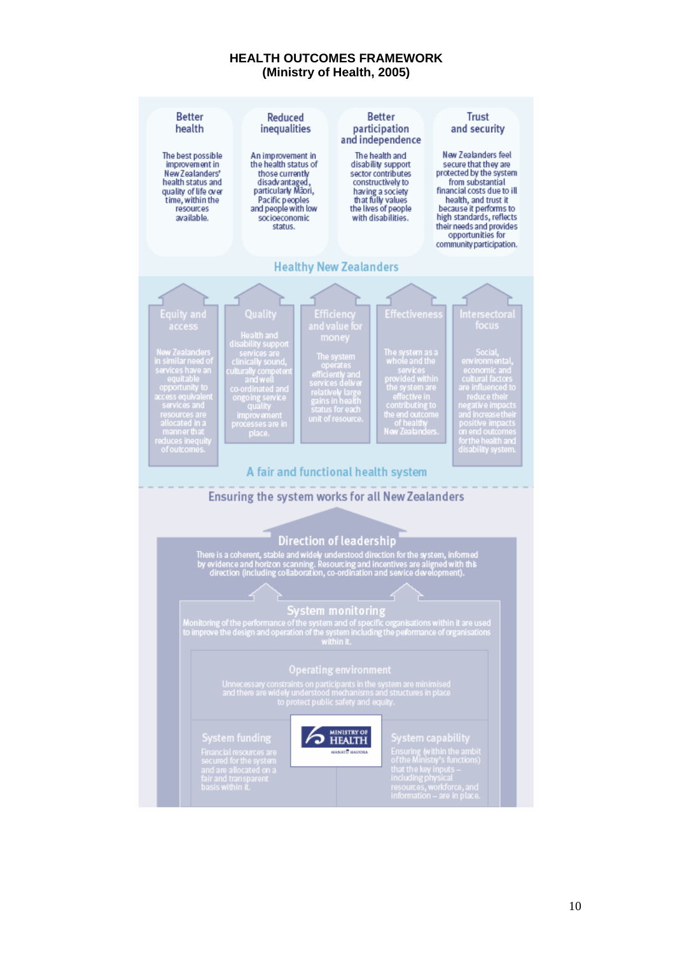#### **HEALTH OUTCOMES FRAMEWORK (Ministry of Health, 2005)**

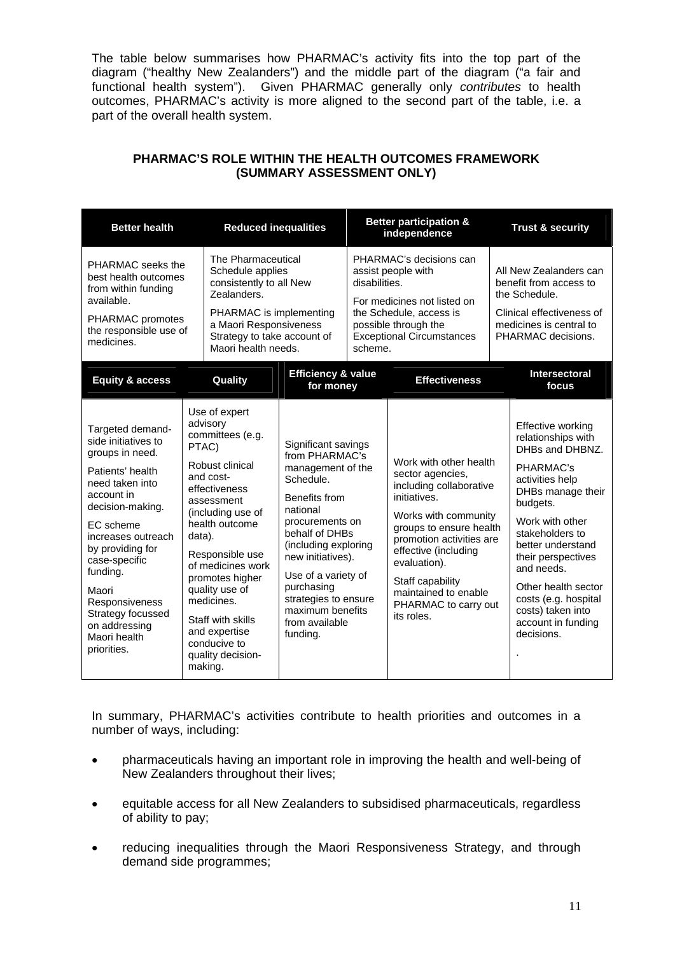The table below summarises how PHARMAC's activity fits into the top part of the diagram ("healthy New Zealanders") and the middle part of the diagram ("a fair and functional health system"). Given PHARMAC generally only *contributes* to health outcomes, PHARMAC's activity is more aligned to the second part of the table, i.e. a part of the overall health system.

| <b>Reduced inequalities</b><br><b>Better health</b>                                                                                                                                                                                                                                                                     |                                                                                                                                                                                                                                                                                                                                                         |                                                                                                                                                                                                                                                                                                       |  | <b>Better participation &amp;</b><br>independence                                                                                                                                                                                                                                              | <b>Trust &amp; security</b>                                                                                                                                                                                                                                                                                                        |                                                                                                                                                                              |  |                                                                                                                                                 |
|-------------------------------------------------------------------------------------------------------------------------------------------------------------------------------------------------------------------------------------------------------------------------------------------------------------------------|---------------------------------------------------------------------------------------------------------------------------------------------------------------------------------------------------------------------------------------------------------------------------------------------------------------------------------------------------------|-------------------------------------------------------------------------------------------------------------------------------------------------------------------------------------------------------------------------------------------------------------------------------------------------------|--|------------------------------------------------------------------------------------------------------------------------------------------------------------------------------------------------------------------------------------------------------------------------------------------------|------------------------------------------------------------------------------------------------------------------------------------------------------------------------------------------------------------------------------------------------------------------------------------------------------------------------------------|------------------------------------------------------------------------------------------------------------------------------------------------------------------------------|--|-------------------------------------------------------------------------------------------------------------------------------------------------|
| PHARMAC seeks the<br>best health outcomes<br>from within funding<br>available.<br>PHARMAC promotes<br>the responsible use of<br>medicines.                                                                                                                                                                              | Zealanders.                                                                                                                                                                                                                                                                                                                                             | PHARMAC's decisions can<br>assist people with<br>disabilities.<br>For medicines not listed on<br>the Schedule, access is<br>possible through the<br><b>Exceptional Circumstances</b><br>scheme.                                                                                                       |  |                                                                                                                                                                                                                                                                                                |                                                                                                                                                                                                                                                                                                                                    | The Pharmaceutical<br>Schedule applies<br>consistently to all New<br>PHARMAC is implementing<br>a Maori Responsiveness<br>Strategy to take account of<br>Maori health needs. |  | All New Zealanders can<br>benefit from access to<br>the Schedule.<br>Clinical effectiveness of<br>medicines is central to<br>PHARMAC decisions. |
| <b>Equity &amp; access</b>                                                                                                                                                                                                                                                                                              | Quality                                                                                                                                                                                                                                                                                                                                                 | <b>Efficiency &amp; value</b><br>for money                                                                                                                                                                                                                                                            |  | <b>Effectiveness</b>                                                                                                                                                                                                                                                                           | Intersectoral<br>focus                                                                                                                                                                                                                                                                                                             |                                                                                                                                                                              |  |                                                                                                                                                 |
| Targeted demand-<br>side initiatives to<br>groups in need.<br>Patients' health<br>need taken into<br>account in<br>decision-making.<br>EC scheme<br>increases outreach<br>by providing for<br>case-specific<br>funding.<br>Maori<br>Responsiveness<br>Strategy focussed<br>on addressing<br>Maori health<br>priorities. | Use of expert<br>advisory<br>committees (e.g.<br>PTAC)<br>Robust clinical<br>and cost-<br>effectiveness<br>assessment<br>(including use of<br>health outcome<br>data).<br>Responsible use<br>of medicines work<br>promotes higher<br>quality use of<br>medicines.<br>Staff with skills<br>and expertise<br>conducive to<br>quality decision-<br>making. | Significant savings<br>from PHARMAC's<br>management of the<br>Schedule.<br>Benefits from<br>national<br>procurements on<br>behalf of DHBs<br>(including exploring<br>new initiatives).<br>Use of a variety of<br>purchasing<br>strategies to ensure<br>maximum benefits<br>from available<br>funding. |  | Work with other health<br>sector agencies,<br>including collaborative<br>initiatives.<br>Works with community<br>groups to ensure health<br>promotion activities are<br>effective (including<br>evaluation).<br>Staff capability<br>maintained to enable<br>PHARMAC to carry out<br>its roles. | Effective working<br>relationships with<br>DHBs and DHBNZ.<br>PHARMAC's<br>activities help<br>DHBs manage their<br>budgets.<br>Work with other<br>stakeholders to<br>better understand<br>their perspectives<br>and needs.<br>Other health sector<br>costs (e.g. hospital<br>costs) taken into<br>account in funding<br>decisions. |                                                                                                                                                                              |  |                                                                                                                                                 |

## **PHARMAC'S ROLE WITHIN THE HEALTH OUTCOMES FRAMEWORK (SUMMARY ASSESSMENT ONLY)**

In summary, PHARMAC's activities contribute to health priorities and outcomes in a number of ways, including:

- pharmaceuticals having an important role in improving the health and well-being of New Zealanders throughout their lives;
- equitable access for all New Zealanders to subsidised pharmaceuticals, regardless of ability to pay;
- reducing inequalities through the Maori Responsiveness Strategy, and through demand side programmes;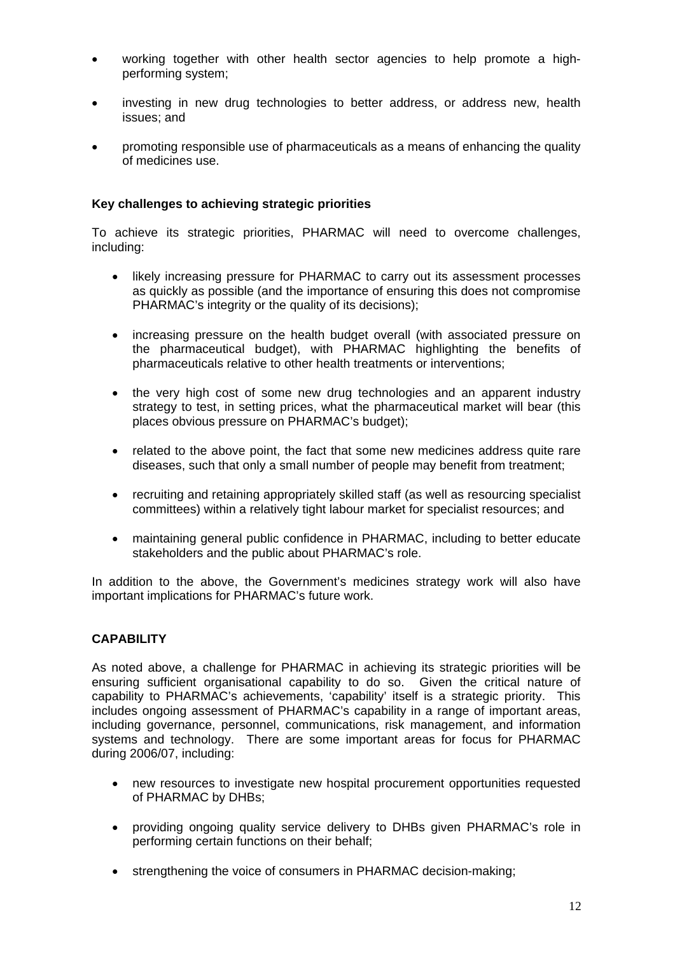- working together with other health sector agencies to help promote a highperforming system;
- investing in new drug technologies to better address, or address new, health issues; and
- promoting responsible use of pharmaceuticals as a means of enhancing the quality of medicines use.

### **Key challenges to achieving strategic priorities**

To achieve its strategic priorities, PHARMAC will need to overcome challenges, including:

- likely increasing pressure for PHARMAC to carry out its assessment processes as quickly as possible (and the importance of ensuring this does not compromise PHARMAC's integrity or the quality of its decisions);
- increasing pressure on the health budget overall (with associated pressure on the pharmaceutical budget), with PHARMAC highlighting the benefits of pharmaceuticals relative to other health treatments or interventions;
- the very high cost of some new drug technologies and an apparent industry strategy to test, in setting prices, what the pharmaceutical market will bear (this places obvious pressure on PHARMAC's budget);
- related to the above point, the fact that some new medicines address quite rare diseases, such that only a small number of people may benefit from treatment;
- recruiting and retaining appropriately skilled staff (as well as resourcing specialist committees) within a relatively tight labour market for specialist resources; and
- maintaining general public confidence in PHARMAC, including to better educate stakeholders and the public about PHARMAC's role.

In addition to the above, the Government's medicines strategy work will also have important implications for PHARMAC's future work.

### **CAPABILITY**

As noted above, a challenge for PHARMAC in achieving its strategic priorities will be ensuring sufficient organisational capability to do so. Given the critical nature of capability to PHARMAC's achievements, 'capability' itself is a strategic priority. This includes ongoing assessment of PHARMAC's capability in a range of important areas, including governance, personnel, communications, risk management, and information systems and technology. There are some important areas for focus for PHARMAC during 2006/07, including:

- new resources to investigate new hospital procurement opportunities requested of PHARMAC by DHBs;
- providing ongoing quality service delivery to DHBs given PHARMAC's role in performing certain functions on their behalf;
- strengthening the voice of consumers in PHARMAC decision-making;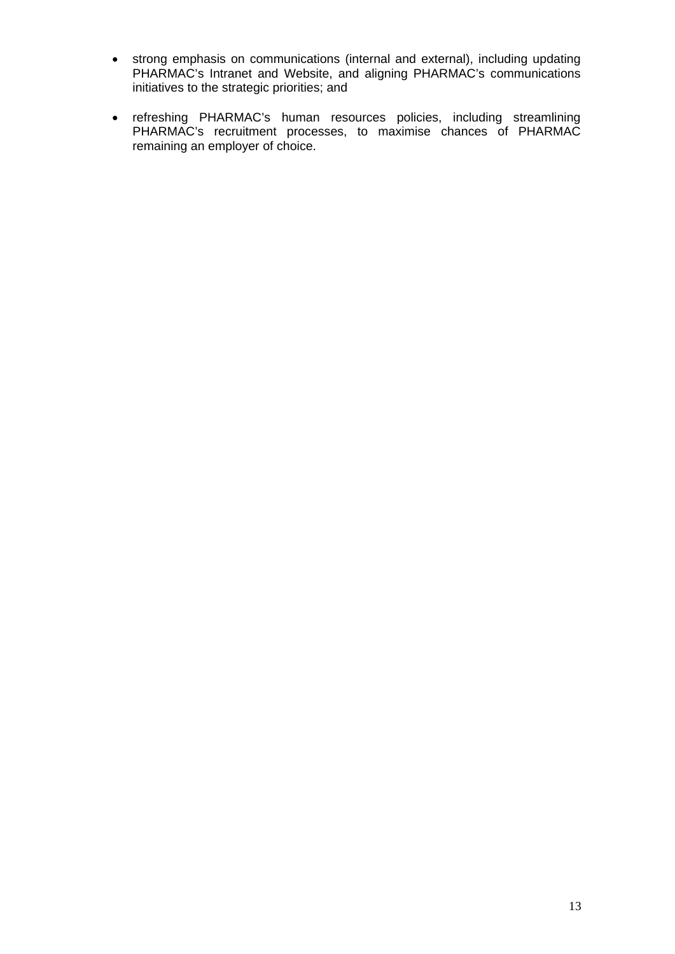- strong emphasis on communications (internal and external), including updating PHARMAC's Intranet and Website, and aligning PHARMAC's communications initiatives to the strategic priorities; and
- refreshing PHARMAC's human resources policies, including streamlining PHARMAC's recruitment processes, to maximise chances of PHARMAC remaining an employer of choice.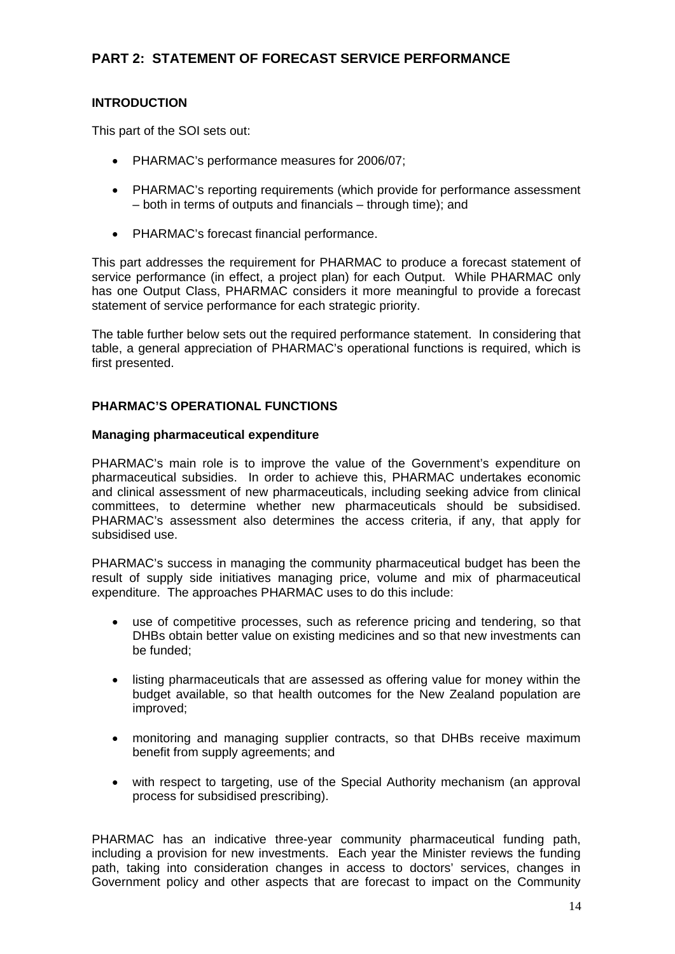# **PART 2: STATEMENT OF FORECAST SERVICE PERFORMANCE**

## **INTRODUCTION**

This part of the SOI sets out:

- PHARMAC's performance measures for 2006/07;
- PHARMAC's reporting requirements (which provide for performance assessment – both in terms of outputs and financials – through time); and
- PHARMAC's forecast financial performance.

This part addresses the requirement for PHARMAC to produce a forecast statement of service performance (in effect, a project plan) for each Output. While PHARMAC only has one Output Class, PHARMAC considers it more meaningful to provide a forecast statement of service performance for each strategic priority.

The table further below sets out the required performance statement. In considering that table, a general appreciation of PHARMAC's operational functions is required, which is first presented.

### **PHARMAC'S OPERATIONAL FUNCTIONS**

### **Managing pharmaceutical expenditure**

PHARMAC's main role is to improve the value of the Government's expenditure on pharmaceutical subsidies. In order to achieve this, PHARMAC undertakes economic and clinical assessment of new pharmaceuticals, including seeking advice from clinical committees, to determine whether new pharmaceuticals should be subsidised. PHARMAC's assessment also determines the access criteria, if any, that apply for subsidised use.

PHARMAC's success in managing the community pharmaceutical budget has been the result of supply side initiatives managing price, volume and mix of pharmaceutical expenditure. The approaches PHARMAC uses to do this include:

- use of competitive processes, such as reference pricing and tendering, so that DHBs obtain better value on existing medicines and so that new investments can be funded;
- listing pharmaceuticals that are assessed as offering value for money within the budget available, so that health outcomes for the New Zealand population are improved;
- monitoring and managing supplier contracts, so that DHBs receive maximum benefit from supply agreements; and
- with respect to targeting, use of the Special Authority mechanism (an approval process for subsidised prescribing).

PHARMAC has an indicative three-year community pharmaceutical funding path, including a provision for new investments. Each year the Minister reviews the funding path, taking into consideration changes in access to doctors' services, changes in Government policy and other aspects that are forecast to impact on the Community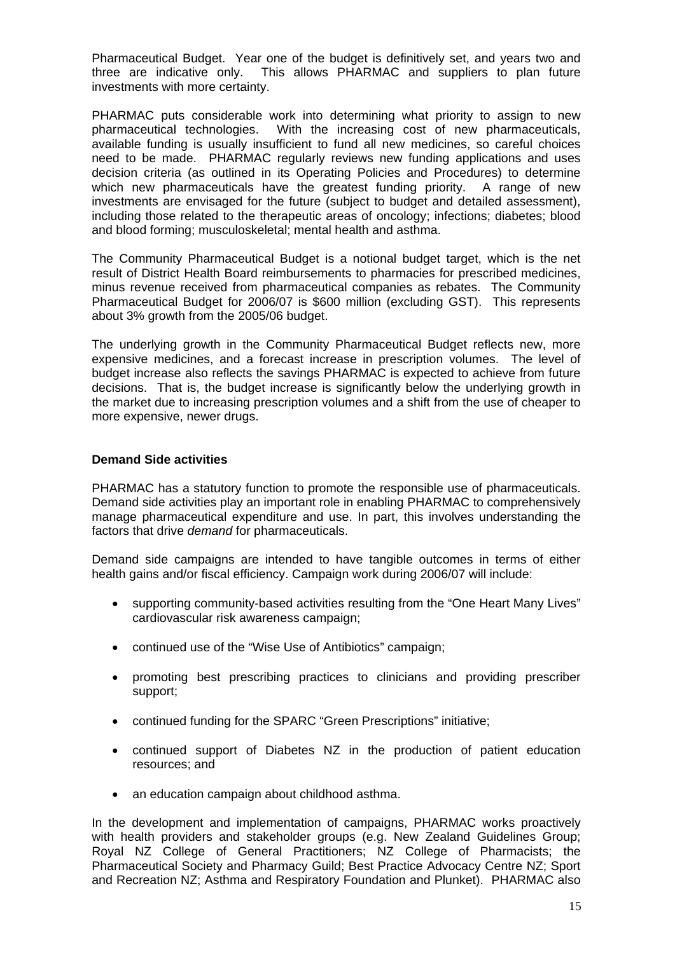Pharmaceutical Budget. Year one of the budget is definitively set, and years two and three are indicative only. This allows PHARMAC and suppliers to plan future investments with more certainty.

PHARMAC puts considerable work into determining what priority to assign to new pharmaceutical technologies. With the increasing cost of new pharmaceuticals, available funding is usually insufficient to fund all new medicines, so careful choices need to be made. PHARMAC regularly reviews new funding applications and uses decision criteria (as outlined in its Operating Policies and Procedures) to determine which new pharmaceuticals have the greatest funding priority. A range of new investments are envisaged for the future (subject to budget and detailed assessment), including those related to the therapeutic areas of oncology; infections; diabetes; blood and blood forming; musculoskeletal; mental health and asthma.

The Community Pharmaceutical Budget is a notional budget target, which is the net result of District Health Board reimbursements to pharmacies for prescribed medicines, minus revenue received from pharmaceutical companies as rebates. The Community Pharmaceutical Budget for 2006/07 is \$600 million (excluding GST). This represents about 3% growth from the 2005/06 budget.

The underlying growth in the Community Pharmaceutical Budget reflects new, more expensive medicines, and a forecast increase in prescription volumes. The level of budget increase also reflects the savings PHARMAC is expected to achieve from future decisions. That is, the budget increase is significantly below the underlying growth in the market due to increasing prescription volumes and a shift from the use of cheaper to more expensive, newer drugs.

### **Demand Side activities**

PHARMAC has a statutory function to promote the responsible use of pharmaceuticals. Demand side activities play an important role in enabling PHARMAC to comprehensively manage pharmaceutical expenditure and use. In part, this involves understanding the factors that drive *demand* for pharmaceuticals.

Demand side campaigns are intended to have tangible outcomes in terms of either health gains and/or fiscal efficiency. Campaign work during 2006/07 will include:

- supporting community-based activities resulting from the "One Heart Many Lives" cardiovascular risk awareness campaign;
- continued use of the "Wise Use of Antibiotics" campaign;
- promoting best prescribing practices to clinicians and providing prescriber support;
- continued funding for the SPARC "Green Prescriptions" initiative;
- continued support of Diabetes NZ in the production of patient education resources; and
- an education campaign about childhood asthma.

In the development and implementation of campaigns, PHARMAC works proactively with health providers and stakeholder groups (e.g. New Zealand Guidelines Group; Royal NZ College of General Practitioners; NZ College of Pharmacists; the Pharmaceutical Society and Pharmacy Guild; Best Practice Advocacy Centre NZ; Sport and Recreation NZ; Asthma and Respiratory Foundation and Plunket). PHARMAC also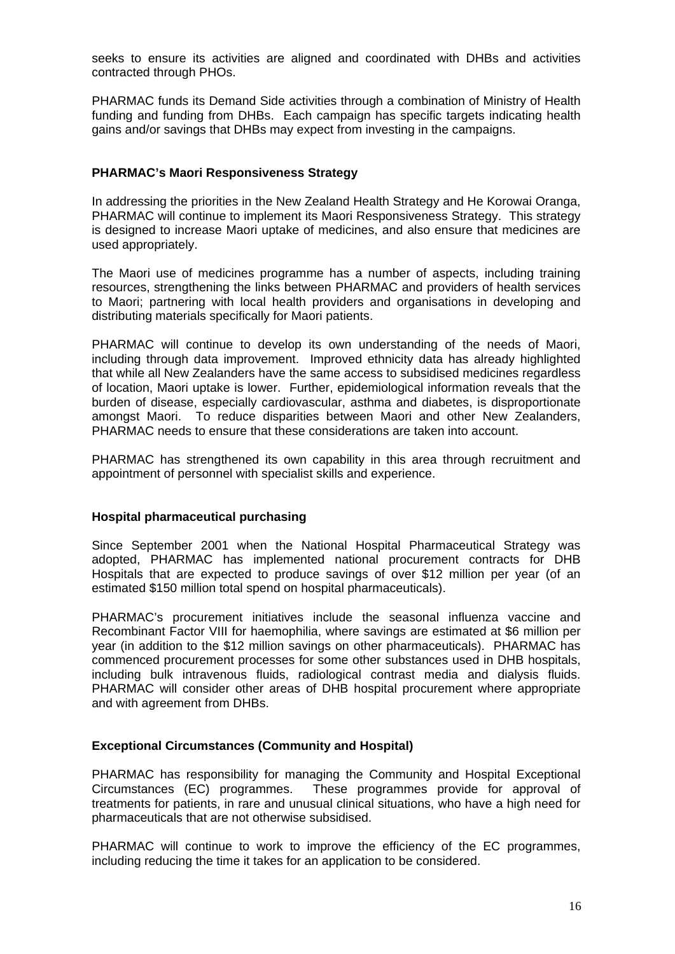seeks to ensure its activities are aligned and coordinated with DHBs and activities contracted through PHOs.

PHARMAC funds its Demand Side activities through a combination of Ministry of Health funding and funding from DHBs. Each campaign has specific targets indicating health gains and/or savings that DHBs may expect from investing in the campaigns.

#### **PHARMAC's Maori Responsiveness Strategy**

In addressing the priorities in the New Zealand Health Strategy and He Korowai Oranga, PHARMAC will continue to implement its Maori Responsiveness Strategy. This strategy is designed to increase Maori uptake of medicines, and also ensure that medicines are used appropriately.

The Maori use of medicines programme has a number of aspects, including training resources, strengthening the links between PHARMAC and providers of health services to Maori; partnering with local health providers and organisations in developing and distributing materials specifically for Maori patients.

PHARMAC will continue to develop its own understanding of the needs of Maori, including through data improvement. Improved ethnicity data has already highlighted that while all New Zealanders have the same access to subsidised medicines regardless of location, Maori uptake is lower. Further, epidemiological information reveals that the burden of disease, especially cardiovascular, asthma and diabetes, is disproportionate amongst Maori. To reduce disparities between Maori and other New Zealanders, PHARMAC needs to ensure that these considerations are taken into account.

PHARMAC has strengthened its own capability in this area through recruitment and appointment of personnel with specialist skills and experience.

#### **Hospital pharmaceutical purchasing**

Since September 2001 when the National Hospital Pharmaceutical Strategy was adopted, PHARMAC has implemented national procurement contracts for DHB Hospitals that are expected to produce savings of over \$12 million per year (of an estimated \$150 million total spend on hospital pharmaceuticals).

PHARMAC's procurement initiatives include the seasonal influenza vaccine and Recombinant Factor VIII for haemophilia, where savings are estimated at \$6 million per year (in addition to the \$12 million savings on other pharmaceuticals). PHARMAC has commenced procurement processes for some other substances used in DHB hospitals, including bulk intravenous fluids, radiological contrast media and dialysis fluids. PHARMAC will consider other areas of DHB hospital procurement where appropriate and with agreement from DHBs.

### **Exceptional Circumstances (Community and Hospital)**

PHARMAC has responsibility for managing the Community and Hospital Exceptional Circumstances (EC) programmes. These programmes provide for approval of treatments for patients, in rare and unusual clinical situations, who have a high need for pharmaceuticals that are not otherwise subsidised.

PHARMAC will continue to work to improve the efficiency of the EC programmes, including reducing the time it takes for an application to be considered.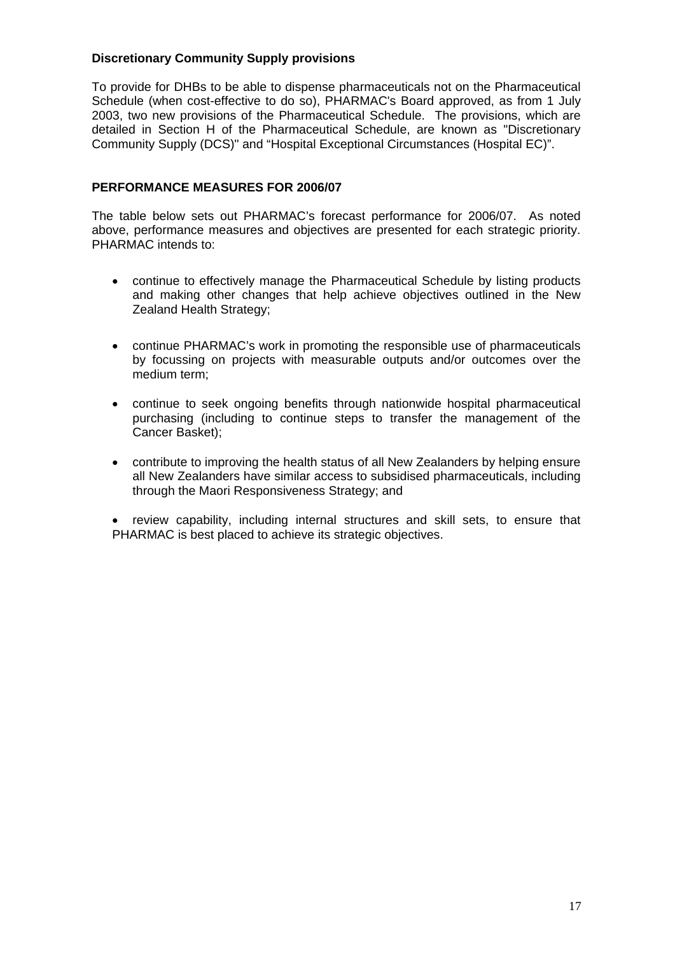## **Discretionary Community Supply provisions**

To provide for DHBs to be able to dispense pharmaceuticals not on the Pharmaceutical Schedule (when cost-effective to do so), PHARMAC's Board approved, as from 1 July 2003, two new provisions of the Pharmaceutical Schedule. The provisions, which are detailed in Section H of the Pharmaceutical Schedule, are known as "Discretionary Community Supply (DCS)" and "Hospital Exceptional Circumstances (Hospital EC)".

## **PERFORMANCE MEASURES FOR 2006/07**

The table below sets out PHARMAC's forecast performance for 2006/07. As noted above, performance measures and objectives are presented for each strategic priority. PHARMAC intends to:

- continue to effectively manage the Pharmaceutical Schedule by listing products and making other changes that help achieve objectives outlined in the New Zealand Health Strategy;
- continue PHARMAC's work in promoting the responsible use of pharmaceuticals by focussing on projects with measurable outputs and/or outcomes over the medium term;
- continue to seek ongoing benefits through nationwide hospital pharmaceutical purchasing (including to continue steps to transfer the management of the Cancer Basket);
- contribute to improving the health status of all New Zealanders by helping ensure all New Zealanders have similar access to subsidised pharmaceuticals, including through the Maori Responsiveness Strategy; and

• review capability, including internal structures and skill sets, to ensure that PHARMAC is best placed to achieve its strategic objectives.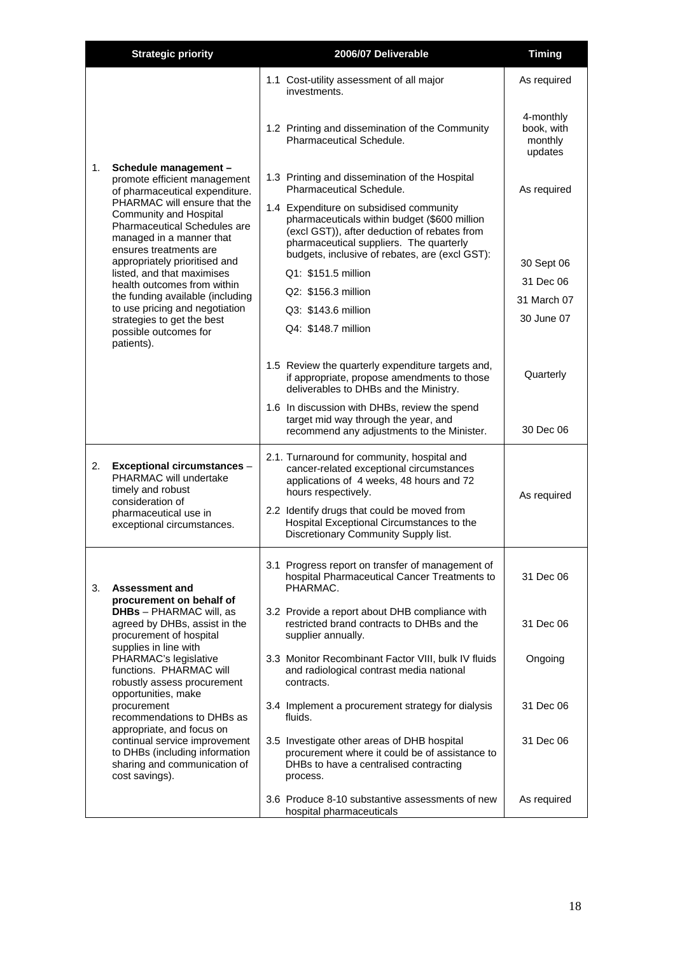|                                                                                                                                              | <b>Strategic priority</b>                                                                                                                                    | 2006/07 Deliverable                                                                                                                                                                                                                                    | <b>Timing</b>                                 |
|----------------------------------------------------------------------------------------------------------------------------------------------|--------------------------------------------------------------------------------------------------------------------------------------------------------------|--------------------------------------------------------------------------------------------------------------------------------------------------------------------------------------------------------------------------------------------------------|-----------------------------------------------|
|                                                                                                                                              |                                                                                                                                                              | 1.1 Cost-utility assessment of all major<br>investments.                                                                                                                                                                                               | As required                                   |
|                                                                                                                                              |                                                                                                                                                              | 1.2 Printing and dissemination of the Community<br>Pharmaceutical Schedule.                                                                                                                                                                            | 4-monthly<br>book, with<br>monthly<br>updates |
| 1.                                                                                                                                           | Schedule management -<br>promote efficient management<br>of pharmaceutical expenditure.                                                                      | 1.3 Printing and dissemination of the Hospital<br>Pharmaceutical Schedule.                                                                                                                                                                             | As required                                   |
| PHARMAC will ensure that the<br>Community and Hospital<br>Pharmaceutical Schedules are<br>managed in a manner that<br>ensures treatments are |                                                                                                                                                              | 1.4 Expenditure on subsidised community<br>pharmaceuticals within budget (\$600 million<br>(excl GST)), after deduction of rebates from<br>pharmaceutical suppliers. The quarterly<br>budgets, inclusive of rebates, are (excl GST):                   |                                               |
|                                                                                                                                              | appropriately prioritised and<br>listed, and that maximises                                                                                                  | Q1: \$151.5 million                                                                                                                                                                                                                                    | 30 Sept 06                                    |
|                                                                                                                                              | health outcomes from within                                                                                                                                  | Q2: \$156.3 million                                                                                                                                                                                                                                    | 31 Dec 06                                     |
|                                                                                                                                              | the funding available (including<br>to use pricing and negotiation                                                                                           | Q3: \$143.6 million                                                                                                                                                                                                                                    | 31 March 07                                   |
|                                                                                                                                              | strategies to get the best                                                                                                                                   | Q4: \$148.7 million                                                                                                                                                                                                                                    | 30 June 07                                    |
|                                                                                                                                              | possible outcomes for<br>patients).                                                                                                                          |                                                                                                                                                                                                                                                        |                                               |
|                                                                                                                                              |                                                                                                                                                              | 1.5 Review the quarterly expenditure targets and,<br>if appropriate, propose amendments to those<br>deliverables to DHBs and the Ministry.                                                                                                             | Quarterly                                     |
|                                                                                                                                              |                                                                                                                                                              | 1.6 In discussion with DHBs, review the spend<br>target mid way through the year, and<br>recommend any adjustments to the Minister.                                                                                                                    | 30 Dec 06                                     |
| 2.                                                                                                                                           | <b>Exceptional circumstances -</b><br>PHARMAC will undertake<br>timely and robust<br>consideration of<br>pharmaceutical use in<br>exceptional circumstances. | 2.1. Turnaround for community, hospital and<br>cancer-related exceptional circumstances<br>applications of 4 weeks, 48 hours and 72<br>hours respectively.<br>2.2 Identify drugs that could be moved from<br>Hospital Exceptional Circumstances to the | As required                                   |
|                                                                                                                                              |                                                                                                                                                              | Discretionary Community Supply list.<br>3.1 Progress report on transfer of management of                                                                                                                                                               |                                               |
| 3.                                                                                                                                           | <b>Assessment and</b>                                                                                                                                        | hospital Pharmaceutical Cancer Treatments to<br>PHARMAC.                                                                                                                                                                                               | 31 Dec 06                                     |
|                                                                                                                                              | procurement on behalf of<br><b>DHBs</b> - PHARMAC will, as<br>agreed by DHBs, assist in the<br>procurement of hospital                                       | 3.2 Provide a report about DHB compliance with<br>restricted brand contracts to DHBs and the<br>supplier annually.                                                                                                                                     | 31 Dec 06                                     |
|                                                                                                                                              | supplies in line with<br>PHARMAC's legislative<br>functions. PHARMAC will<br>robustly assess procurement                                                     | 3.3 Monitor Recombinant Factor VIII, bulk IV fluids<br>and radiological contrast media national<br>contracts.                                                                                                                                          | Ongoing                                       |
|                                                                                                                                              | opportunities, make<br>procurement<br>recommendations to DHBs as                                                                                             | 3.4 Implement a procurement strategy for dialysis<br>fluids.                                                                                                                                                                                           | 31 Dec 06                                     |
|                                                                                                                                              | appropriate, and focus on<br>continual service improvement<br>to DHBs (including information<br>sharing and communication of<br>cost savings).               | 3.5 Investigate other areas of DHB hospital<br>procurement where it could be of assistance to<br>DHBs to have a centralised contracting<br>process.                                                                                                    | 31 Dec 06                                     |
|                                                                                                                                              |                                                                                                                                                              | 3.6 Produce 8-10 substantive assessments of new<br>hospital pharmaceuticals                                                                                                                                                                            | As required                                   |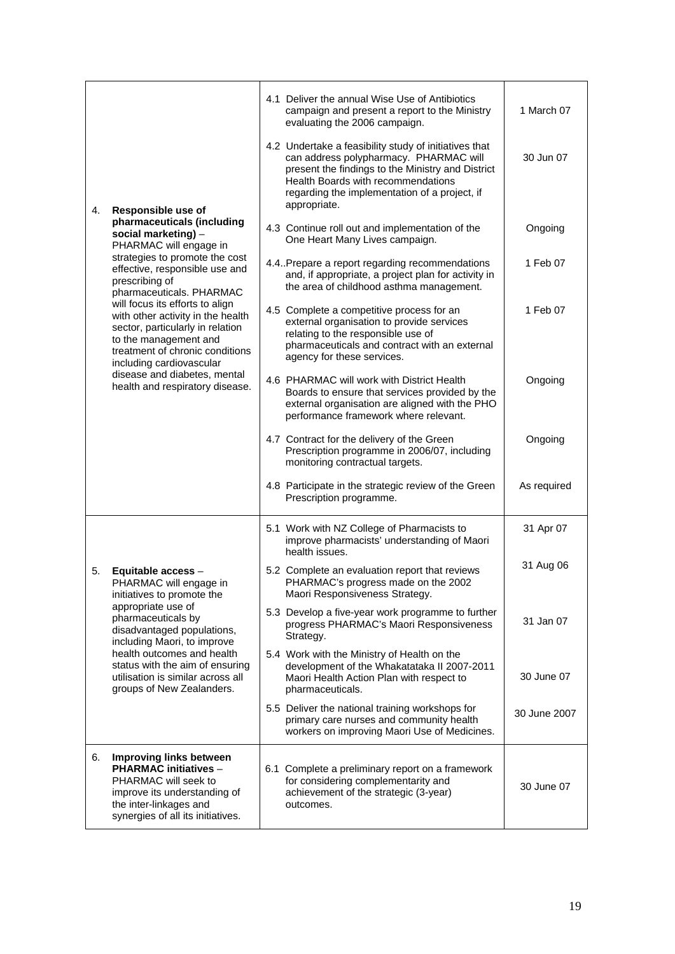|                                                                                                                                                                                                  | 4.1 Deliver the annual Wise Use of Antibiotics<br>campaign and present a report to the Ministry<br>evaluating the 2006 campaign.                                                                                                                            | 1 March 07   |
|--------------------------------------------------------------------------------------------------------------------------------------------------------------------------------------------------|-------------------------------------------------------------------------------------------------------------------------------------------------------------------------------------------------------------------------------------------------------------|--------------|
| Responsible use of<br>4.                                                                                                                                                                         | 4.2 Undertake a feasibility study of initiatives that<br>can address polypharmacy. PHARMAC will<br>present the findings to the Ministry and District<br>Health Boards with recommendations<br>regarding the implementation of a project, if<br>appropriate. | 30 Jun 07    |
| pharmaceuticals (including<br>social marketing) -<br>PHARMAC will engage in                                                                                                                      | 4.3 Continue roll out and implementation of the<br>One Heart Many Lives campaign.                                                                                                                                                                           | Ongoing      |
| strategies to promote the cost<br>effective, responsible use and<br>prescribing of<br>pharmaceuticals. PHARMAC                                                                                   | 4.4. Prepare a report regarding recommendations<br>and, if appropriate, a project plan for activity in<br>the area of childhood asthma management.                                                                                                          | 1 Feb 07     |
| will focus its efforts to align<br>with other activity in the health<br>sector, particularly in relation<br>to the management and<br>treatment of chronic conditions<br>including cardiovascular | 4.5 Complete a competitive process for an<br>external organisation to provide services<br>relating to the responsible use of<br>pharmaceuticals and contract with an external<br>agency for these services.                                                 | 1 Feb 07     |
| disease and diabetes, mental<br>health and respiratory disease.                                                                                                                                  | 4.6 PHARMAC will work with District Health<br>Boards to ensure that services provided by the<br>external organisation are aligned with the PHO<br>performance framework where relevant.                                                                     | Ongoing      |
|                                                                                                                                                                                                  | 4.7 Contract for the delivery of the Green<br>Prescription programme in 2006/07, including<br>monitoring contractual targets.                                                                                                                               | Ongoing      |
|                                                                                                                                                                                                  | 4.8 Participate in the strategic review of the Green<br>Prescription programme.                                                                                                                                                                             | As required  |
|                                                                                                                                                                                                  | 5.1 Work with NZ College of Pharmacists to<br>improve pharmacists' understanding of Maori<br>health issues.                                                                                                                                                 | 31 Apr 07    |
| Equitable access -<br>5.<br>PHARMAC will engage in<br>initiatives to promote the                                                                                                                 | 5.2 Complete an evaluation report that reviews<br>PHARMAC's progress made on the 2002<br>Maori Responsiveness Strategy.                                                                                                                                     | 31 Aug 06    |
| appropriate use of<br>pharmaceuticals by<br>disadvantaged populations,<br>including Maori, to improve                                                                                            | 5.3 Develop a five-year work programme to further<br>progress PHARMAC's Maori Responsiveness<br>Strategy.                                                                                                                                                   | 31 Jan 07    |
| health outcomes and health<br>status with the aim of ensuring<br>utilisation is similar across all<br>groups of New Zealanders.                                                                  | 5.4 Work with the Ministry of Health on the<br>development of the Whakatataka II 2007-2011<br>Maori Health Action Plan with respect to<br>pharmaceuticals.                                                                                                  | 30 June 07   |
|                                                                                                                                                                                                  | 5.5 Deliver the national training workshops for<br>primary care nurses and community health<br>workers on improving Maori Use of Medicines.                                                                                                                 | 30 June 2007 |
| <b>Improving links between</b><br>6.<br><b>PHARMAC initiatives -</b><br>PHARMAC will seek to<br>improve its understanding of<br>the inter-linkages and<br>synergies of all its initiatives.      | 6.1 Complete a preliminary report on a framework<br>for considering complementarity and<br>achievement of the strategic (3-year)<br>outcomes.                                                                                                               | 30 June 07   |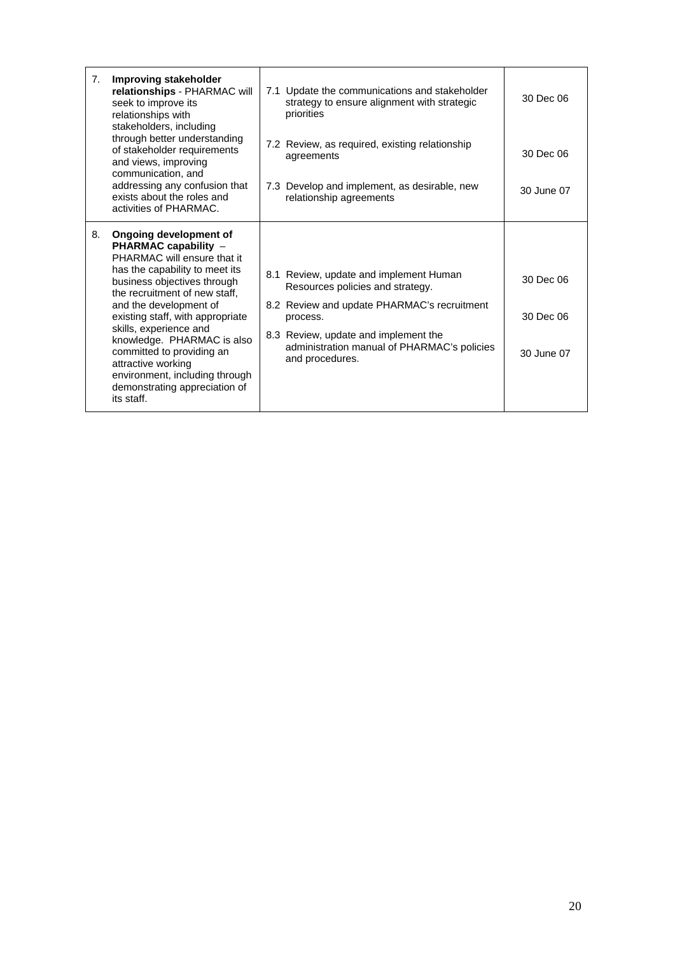| 7. | Improving stakeholder<br>relationships - PHARMAC will<br>seek to improve its<br>relationships with<br>stakeholders, including<br>through better understanding<br>of stakeholder requirements<br>and views, improving<br>communication, and<br>addressing any confusion that<br>exists about the roles and<br>activities of PHARMAC.                                                                                                       | 7.1 Update the communications and stakeholder<br>strategy to ensure alignment with strategic<br>priorities<br>7.2 Review, as required, existing relationship<br>agreements<br>7.3 Develop and implement, as desirable, new<br>relationship agreements | 30 Dec 06<br>30 Dec 06<br>30 June 07 |
|----|-------------------------------------------------------------------------------------------------------------------------------------------------------------------------------------------------------------------------------------------------------------------------------------------------------------------------------------------------------------------------------------------------------------------------------------------|-------------------------------------------------------------------------------------------------------------------------------------------------------------------------------------------------------------------------------------------------------|--------------------------------------|
| 8. | Ongoing development of<br>PHARMAC capability -<br>PHARMAC will ensure that it<br>has the capability to meet its<br>business objectives through<br>the recruitment of new staff,<br>and the development of<br>existing staff, with appropriate<br>skills, experience and<br>knowledge. PHARMAC is also<br>committed to providing an<br>attractive working<br>environment, including through<br>demonstrating appreciation of<br>its staff. | 8.1 Review, update and implement Human<br>Resources policies and strategy.<br>8.2 Review and update PHARMAC's recruitment<br>process.<br>8.3 Review, update and implement the<br>administration manual of PHARMAC's policies<br>and procedures.       | 30 Dec 06<br>30 Dec 06<br>30 June 07 |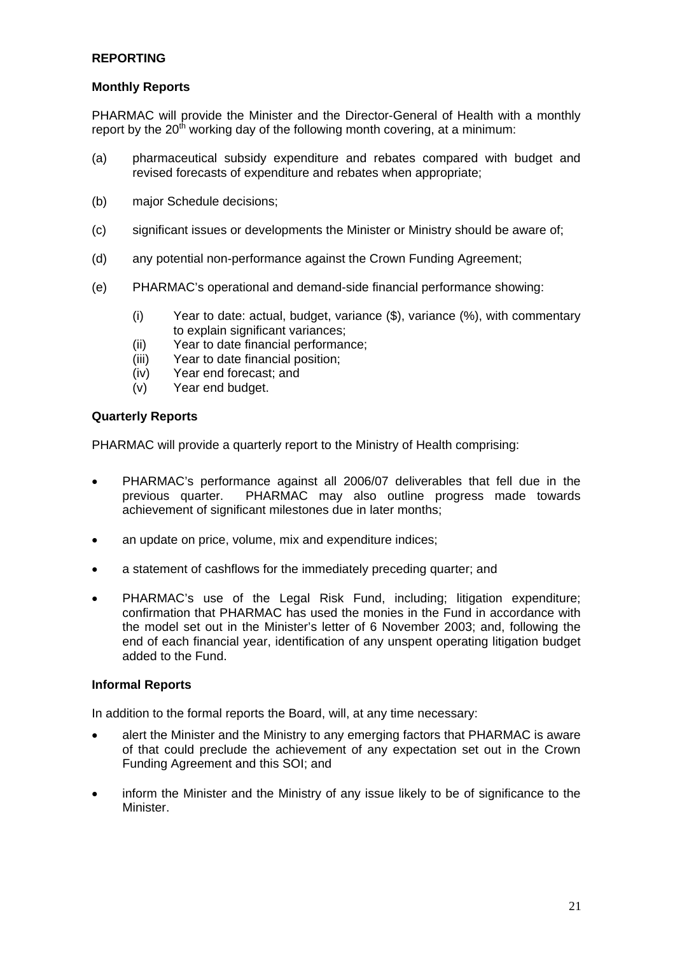## **REPORTING**

### **Monthly Reports**

PHARMAC will provide the Minister and the Director-General of Health with a monthly report by the  $20<sup>th</sup>$  working day of the following month covering, at a minimum:

- (a) pharmaceutical subsidy expenditure and rebates compared with budget and revised forecasts of expenditure and rebates when appropriate;
- (b) major Schedule decisions;
- (c) significant issues or developments the Minister or Ministry should be aware of;
- (d) any potential non-performance against the Crown Funding Agreement;
- (e) PHARMAC's operational and demand-side financial performance showing:
	- (i) Year to date: actual, budget, variance (\$), variance (%), with commentary to explain significant variances:
	- (ii) Year to date financial performance;
	- (iii) Year to date financial position;
	- (iv) Year end forecast; and
	- (v) Year end budget.

#### **Quarterly Reports**

PHARMAC will provide a quarterly report to the Ministry of Health comprising:

- PHARMAC's performance against all 2006/07 deliverables that fell due in the previous quarter. PHARMAC may also outline progress made towards achievement of significant milestones due in later months;
- an update on price, volume, mix and expenditure indices;
- a statement of cashflows for the immediately preceding quarter; and
- PHARMAC's use of the Legal Risk Fund, including; litigation expenditure; confirmation that PHARMAC has used the monies in the Fund in accordance with the model set out in the Minister's letter of 6 November 2003; and, following the end of each financial year, identification of any unspent operating litigation budget added to the Fund.

### **Informal Reports**

In addition to the formal reports the Board, will, at any time necessary:

- alert the Minister and the Ministry to any emerging factors that PHARMAC is aware of that could preclude the achievement of any expectation set out in the Crown Funding Agreement and this SOI; and
- inform the Minister and the Ministry of any issue likely to be of significance to the Minister.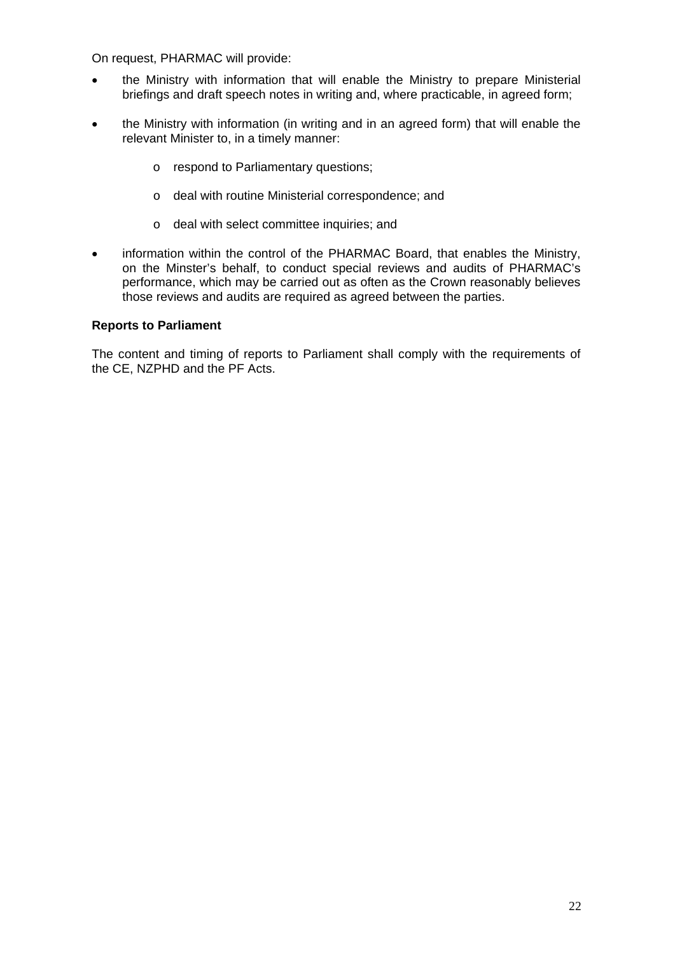On request, PHARMAC will provide:

- the Ministry with information that will enable the Ministry to prepare Ministerial briefings and draft speech notes in writing and, where practicable, in agreed form;
- the Ministry with information (in writing and in an agreed form) that will enable the relevant Minister to, in a timely manner:
	- o respond to Parliamentary questions;
	- o deal with routine Ministerial correspondence; and
	- o deal with select committee inquiries; and
- information within the control of the PHARMAC Board, that enables the Ministry, on the Minster's behalf, to conduct special reviews and audits of PHARMAC's performance, which may be carried out as often as the Crown reasonably believes those reviews and audits are required as agreed between the parties.

#### **Reports to Parliament**

The content and timing of reports to Parliament shall comply with the requirements of the CE, NZPHD and the PF Acts.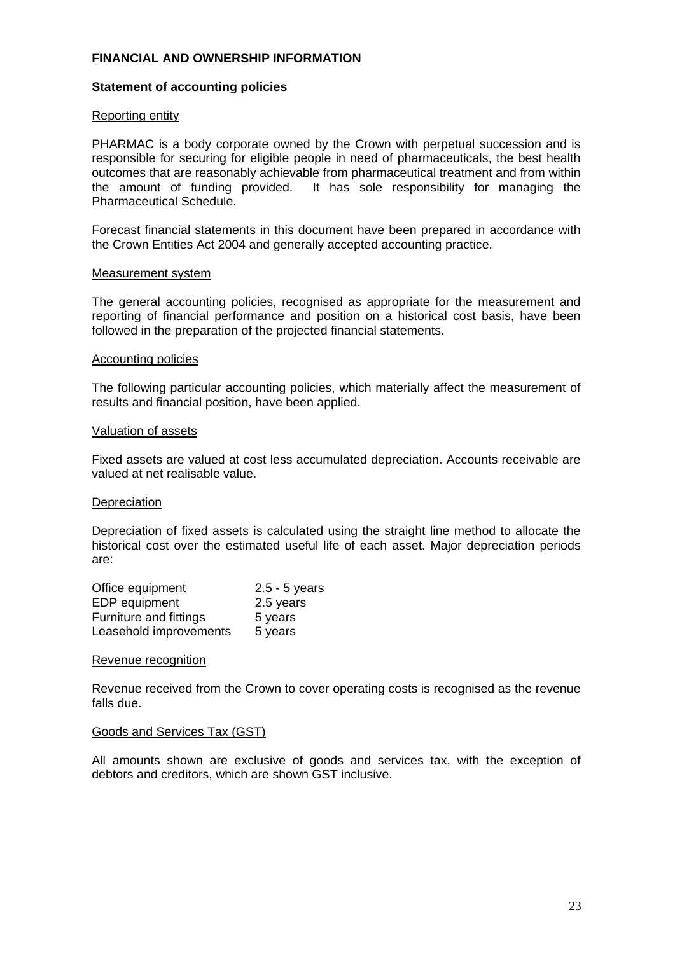### **FINANCIAL AND OWNERSHIP INFORMATION**

#### **Statement of accounting policies**

#### Reporting entity

PHARMAC is a body corporate owned by the Crown with perpetual succession and is responsible for securing for eligible people in need of pharmaceuticals, the best health outcomes that are reasonably achievable from pharmaceutical treatment and from within the amount of funding provided. It has sole responsibility for managing the Pharmaceutical Schedule.

Forecast financial statements in this document have been prepared in accordance with the Crown Entities Act 2004 and generally accepted accounting practice.

#### Measurement system

The general accounting policies, recognised as appropriate for the measurement and reporting of financial performance and position on a historical cost basis, have been followed in the preparation of the projected financial statements.

#### Accounting policies

The following particular accounting policies, which materially affect the measurement of results and financial position, have been applied.

#### Valuation of assets

Fixed assets are valued at cost less accumulated depreciation. Accounts receivable are valued at net realisable value.

#### **Depreciation**

Depreciation of fixed assets is calculated using the straight line method to allocate the historical cost over the estimated useful life of each asset. Major depreciation periods are:

| Office equipment       | $2.5 - 5$ years |
|------------------------|-----------------|
| EDP equipment          | 2.5 years       |
| Furniture and fittings | 5 years         |
| Leasehold improvements | 5 years         |

#### Revenue recognition

Revenue received from the Crown to cover operating costs is recognised as the revenue falls due.

#### Goods and Services Tax (GST)

All amounts shown are exclusive of goods and services tax, with the exception of debtors and creditors, which are shown GST inclusive.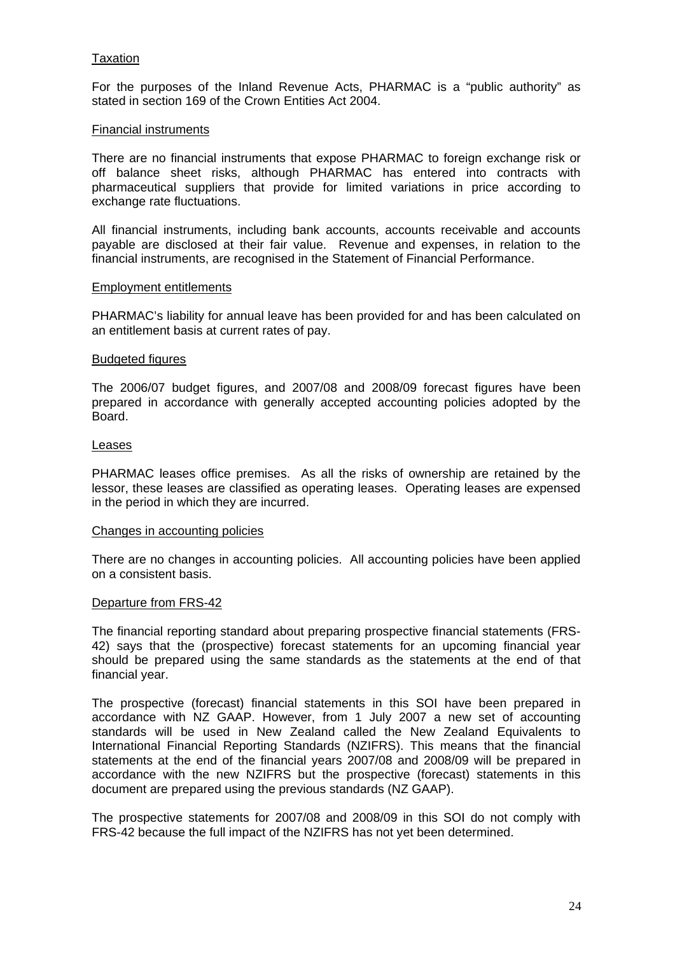#### **Taxation**

For the purposes of the Inland Revenue Acts, PHARMAC is a "public authority" as stated in section 169 of the Crown Entities Act 2004.

#### Financial instruments

There are no financial instruments that expose PHARMAC to foreign exchange risk or off balance sheet risks, although PHARMAC has entered into contracts with pharmaceutical suppliers that provide for limited variations in price according to exchange rate fluctuations.

All financial instruments, including bank accounts, accounts receivable and accounts payable are disclosed at their fair value. Revenue and expenses, in relation to the financial instruments, are recognised in the Statement of Financial Performance.

#### Employment entitlements

PHARMAC's liability for annual leave has been provided for and has been calculated on an entitlement basis at current rates of pay.

#### Budgeted figures

The 2006/07 budget figures, and 2007/08 and 2008/09 forecast figures have been prepared in accordance with generally accepted accounting policies adopted by the Board.

#### Leases

PHARMAC leases office premises. As all the risks of ownership are retained by the lessor, these leases are classified as operating leases. Operating leases are expensed in the period in which they are incurred.

#### Changes in accounting policies

There are no changes in accounting policies. All accounting policies have been applied on a consistent basis.

#### Departure from FRS-42

The financial reporting standard about preparing prospective financial statements (FRS-42) says that the (prospective) forecast statements for an upcoming financial year should be prepared using the same standards as the statements at the end of that financial year.

The prospective (forecast) financial statements in this SOI have been prepared in accordance with NZ GAAP. However, from 1 July 2007 a new set of accounting standards will be used in New Zealand called the New Zealand Equivalents to International Financial Reporting Standards (NZIFRS). This means that the financial statements at the end of the financial years 2007/08 and 2008/09 will be prepared in accordance with the new NZIFRS but the prospective (forecast) statements in this document are prepared using the previous standards (NZ GAAP).

The prospective statements for 2007/08 and 2008/09 in this SOI do not comply with FRS-42 because the full impact of the NZIFRS has not yet been determined.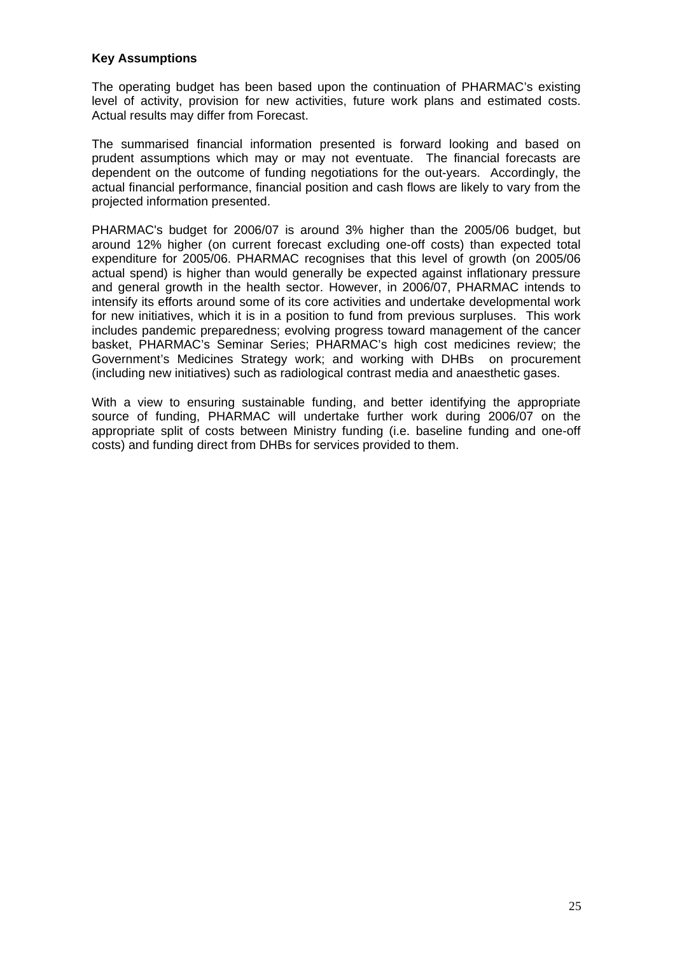### **Key Assumptions**

The operating budget has been based upon the continuation of PHARMAC's existing level of activity, provision for new activities, future work plans and estimated costs. Actual results may differ from Forecast.

The summarised financial information presented is forward looking and based on prudent assumptions which may or may not eventuate. The financial forecasts are dependent on the outcome of funding negotiations for the out-years. Accordingly, the actual financial performance, financial position and cash flows are likely to vary from the projected information presented.

PHARMAC's budget for 2006/07 is around 3% higher than the 2005/06 budget, but around 12% higher (on current forecast excluding one-off costs) than expected total expenditure for 2005/06. PHARMAC recognises that this level of growth (on 2005/06 actual spend) is higher than would generally be expected against inflationary pressure and general growth in the health sector. However, in 2006/07, PHARMAC intends to intensify its efforts around some of its core activities and undertake developmental work for new initiatives, which it is in a position to fund from previous surpluses. This work includes pandemic preparedness; evolving progress toward management of the cancer basket, PHARMAC's Seminar Series; PHARMAC's high cost medicines review; the Government's Medicines Strategy work; and working with DHBs on procurement (including new initiatives) such as radiological contrast media and anaesthetic gases.

With a view to ensuring sustainable funding, and better identifying the appropriate source of funding, PHARMAC will undertake further work during 2006/07 on the appropriate split of costs between Ministry funding (i.e. baseline funding and one-off costs) and funding direct from DHBs for services provided to them.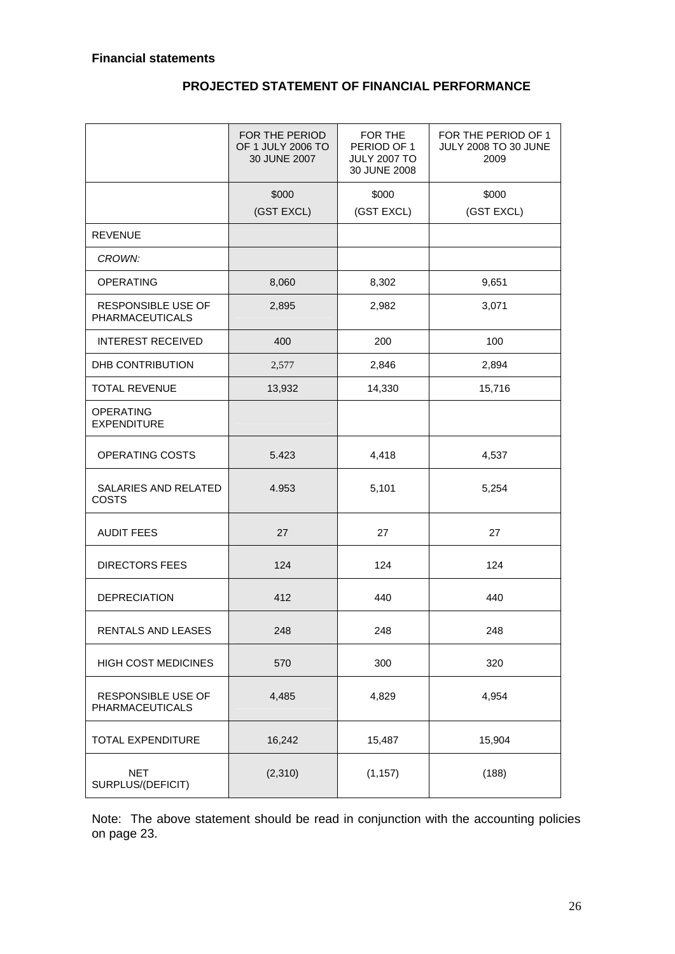# **PROJECTED STATEMENT OF FINANCIAL PERFORMANCE**

|                                              | FOR THE PERIOD<br>OF 1 JULY 2006 TO<br>30 JUNE 2007 | FOR THE<br>PERIOD OF 1<br><b>JULY 2007 TO</b><br>30 JUNE 2008 | FOR THE PERIOD OF 1<br>JULY 2008 TO 30 JUNE<br>2009 |
|----------------------------------------------|-----------------------------------------------------|---------------------------------------------------------------|-----------------------------------------------------|
|                                              | \$000                                               | \$000                                                         | \$000                                               |
|                                              | (GST EXCL)                                          | (GST EXCL)                                                    | (GST EXCL)                                          |
| <b>REVENUE</b>                               |                                                     |                                                               |                                                     |
| CROWN:                                       |                                                     |                                                               |                                                     |
| <b>OPERATING</b>                             | 8,060                                               | 8,302                                                         | 9,651                                               |
| RESPONSIBLE USE OF<br><b>PHARMACEUTICALS</b> | 2,895                                               | 2,982                                                         | 3,071                                               |
| <b>INTEREST RECEIVED</b>                     | 400                                                 | 200                                                           | 100                                                 |
| DHB CONTRIBUTION                             | 2,577                                               | 2,846                                                         | 2,894                                               |
| <b>TOTAL REVENUE</b>                         | 13,932                                              | 14,330                                                        | 15,716                                              |
| <b>OPERATING</b><br><b>EXPENDITURE</b>       |                                                     |                                                               |                                                     |
| OPERATING COSTS                              | 5.423                                               | 4,418                                                         | 4,537                                               |
| SALARIES AND RELATED<br><b>COSTS</b>         | 4.953                                               | 5,101                                                         | 5,254                                               |
| <b>AUDIT FEES</b>                            | 27                                                  | 27                                                            | 27                                                  |
| <b>DIRECTORS FEES</b>                        | 124                                                 | 124                                                           | 124                                                 |
| <b>DEPRECIATION</b>                          | 412                                                 | 440                                                           | 440                                                 |
| RENTALS AND LEASES                           | 248                                                 | 248                                                           | 248                                                 |
| HIGH COST MEDICINES                          | 570                                                 | 300                                                           | 320                                                 |
| RESPONSIBLE USE OF<br><b>PHARMACEUTICALS</b> | 4,485                                               | 4,829                                                         | 4,954                                               |
| TOTAL EXPENDITURE                            | 16,242                                              | 15,487                                                        | 15,904                                              |
| <b>NET</b><br>SURPLUS/(DEFICIT)              | (2,310)                                             | (1, 157)                                                      | (188)                                               |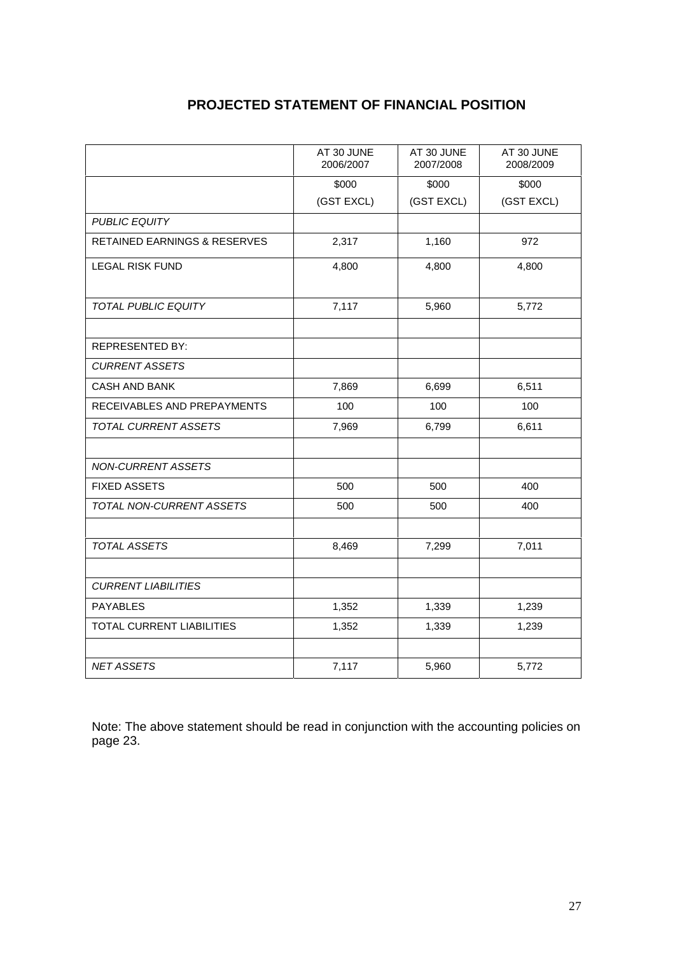# **PROJECTED STATEMENT OF FINANCIAL POSITION**

|                                         | AT 30 JUNE<br>2006/2007 | AT 30 JUNE<br>2007/2008 | AT 30 JUNE<br>2008/2009 |
|-----------------------------------------|-------------------------|-------------------------|-------------------------|
|                                         | \$000                   | \$000                   | \$000                   |
|                                         | (GST EXCL)              | (GST EXCL)              | (GST EXCL)              |
| <b>PUBLIC EQUITY</b>                    |                         |                         |                         |
| <b>RETAINED EARNINGS &amp; RESERVES</b> | 2,317                   | 1,160                   | 972                     |
| <b>LEGAL RISK FUND</b>                  | 4,800                   | 4,800                   | 4,800                   |
| <b>TOTAL PUBLIC EQUITY</b>              | 7,117                   | 5,960                   | 5,772                   |
| <b>REPRESENTED BY:</b>                  |                         |                         |                         |
| <b>CURRENT ASSETS</b>                   |                         |                         |                         |
| <b>CASH AND BANK</b>                    | 7,869                   | 6,699                   | 6,511                   |
| RECEIVABLES AND PREPAYMENTS             | 100                     | 100                     | 100                     |
| TOTAL CURRENT ASSETS                    | 7,969                   | 6,799                   | 6,611                   |
|                                         |                         |                         |                         |
| <b>NON-CURRENT ASSETS</b>               |                         |                         |                         |
| <b>FIXED ASSETS</b>                     | 500                     | 500                     | 400                     |
| TOTAL NON-CURRENT ASSETS                | 500                     | 500                     | 400                     |
|                                         |                         |                         |                         |
| <b>TOTAL ASSETS</b>                     | 8,469                   | 7,299                   | 7,011                   |
|                                         |                         |                         |                         |
| <b>CURRENT LIABILITIES</b>              |                         |                         |                         |
| <b>PAYABLES</b>                         | 1,352                   | 1,339                   | 1,239                   |
| <b>TOTAL CURRENT LIABILITIES</b>        | 1,352                   | 1,339                   | 1,239                   |
|                                         |                         |                         |                         |
| <b>NET ASSETS</b>                       | 7,117                   | 5,960                   | 5,772                   |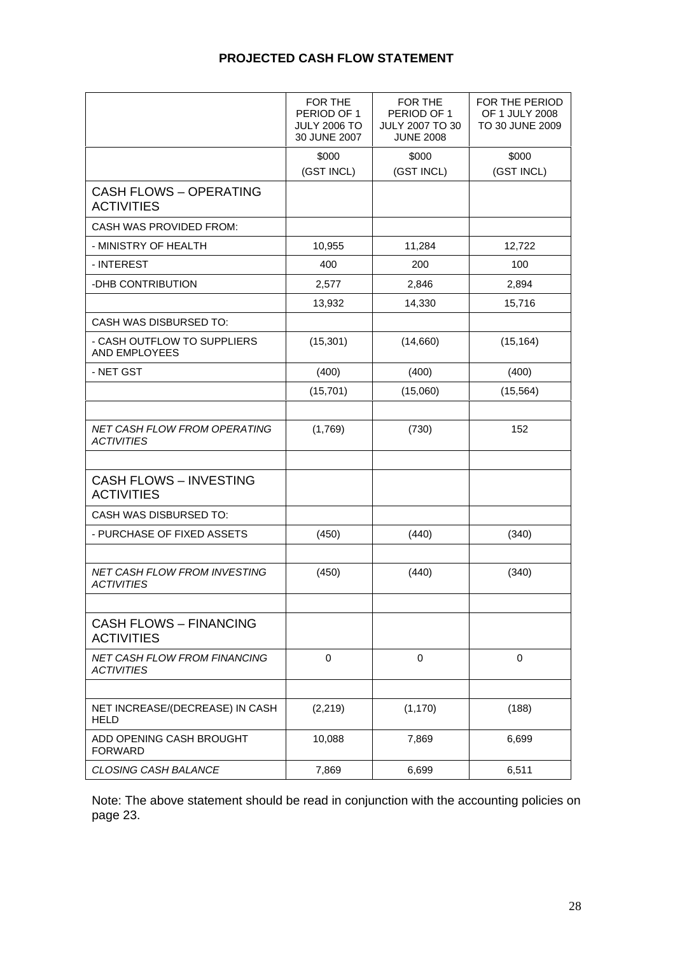# **PROJECTED CASH FLOW STATEMENT**

|                                                          | FOR THE<br>PERIOD OF 1<br><b>JULY 2006 TO</b><br>30 JUNE 2007 | FOR THE<br>PERIOD OF 1<br><b>JULY 2007 TO 30</b><br><b>JUNE 2008</b> | FOR THE PERIOD<br><b>OF 1 JULY 2008</b><br>TO 30 JUNE 2009 |
|----------------------------------------------------------|---------------------------------------------------------------|----------------------------------------------------------------------|------------------------------------------------------------|
|                                                          | \$000<br>(GST INCL)                                           | \$000<br>(GST INCL)                                                  | \$000<br>(GST INCL)                                        |
| <b>CASH FLOWS - OPERATING</b><br><b>ACTIVITIES</b>       |                                                               |                                                                      |                                                            |
| CASH WAS PROVIDED FROM:                                  |                                                               |                                                                      |                                                            |
| - MINISTRY OF HEALTH                                     | 10,955                                                        | 11,284                                                               | 12,722                                                     |
| - INTEREST                                               | 400                                                           | 200                                                                  | 100                                                        |
| -DHB CONTRIBUTION                                        | 2,577                                                         | 2,846                                                                | 2,894                                                      |
|                                                          | 13,932                                                        | 14,330                                                               | 15,716                                                     |
| <b>CASH WAS DISBURSED TO:</b>                            |                                                               |                                                                      |                                                            |
| - CASH OUTFLOW TO SUPPLIERS<br>AND EMPLOYEES             | (15, 301)                                                     | (14,660)                                                             | (15, 164)                                                  |
| - NET GST                                                | (400)                                                         | (400)                                                                | (400)                                                      |
|                                                          | (15, 701)                                                     | (15,060)                                                             | (15, 564)                                                  |
|                                                          |                                                               |                                                                      |                                                            |
| NET CASH FLOW FROM OPERATING<br><b>ACTIVITIES</b>        | (1,769)                                                       | (730)                                                                | 152                                                        |
|                                                          |                                                               |                                                                      |                                                            |
| <b>CASH FLOWS - INVESTING</b><br><b>ACTIVITIES</b>       |                                                               |                                                                      |                                                            |
| <b>CASH WAS DISBURSED TO:</b>                            |                                                               |                                                                      |                                                            |
| - PURCHASE OF FIXED ASSETS                               | (450)                                                         | (440)                                                                | (340)                                                      |
|                                                          |                                                               |                                                                      |                                                            |
| NET CASH FLOW FROM INVESTING<br><b>ACTIVITIES</b>        | (450)                                                         | (440)                                                                | (340)                                                      |
|                                                          |                                                               |                                                                      |                                                            |
| <b>CASH FLOWS - FINANCING</b><br><b>ACTIVITIES</b>       |                                                               |                                                                      |                                                            |
| <b>NET CASH FLOW FROM FINANCING</b><br><b>ACTIVITIES</b> | $\mathbf 0$                                                   | $\mathbf 0$                                                          | $\mathbf 0$                                                |
|                                                          |                                                               |                                                                      |                                                            |
| NET INCREASE/(DECREASE) IN CASH<br><b>HELD</b>           | (2, 219)                                                      | (1, 170)                                                             | (188)                                                      |
| ADD OPENING CASH BROUGHT<br><b>FORWARD</b>               | 10,088                                                        | 7,869                                                                | 6,699                                                      |
| CLOSING CASH BALANCE                                     | 7,869                                                         | 6,699                                                                | 6,511                                                      |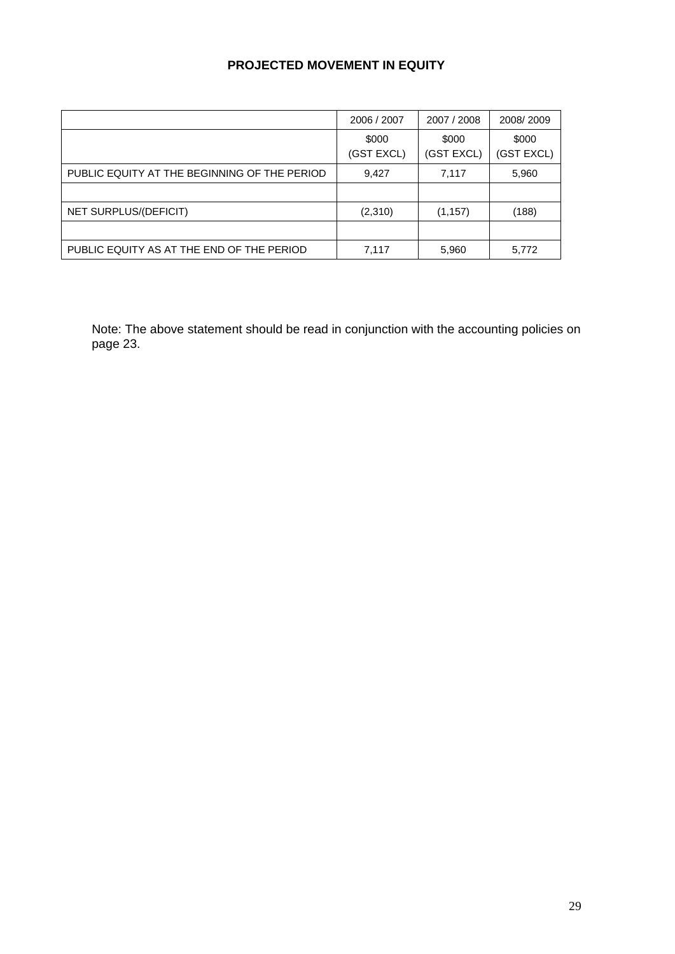# **PROJECTED MOVEMENT IN EQUITY**

|                                              | 2006 / 2007         | 2007 / 2008         | 2008/2009           |
|----------------------------------------------|---------------------|---------------------|---------------------|
|                                              | \$000<br>(GST EXCL) | \$000<br>(GST EXCL) | \$000<br>(GST EXCL) |
| PUBLIC EQUITY AT THE BEGINNING OF THE PERIOD | 9,427               | 7,117               | 5,960               |
|                                              |                     |                     |                     |
| NET SURPLUS/(DEFICIT)                        | (2,310)             | (1, 157)            | (188)               |
|                                              |                     |                     |                     |
| PUBLIC EQUITY AS AT THE END OF THE PERIOD    | 7,117               | 5,960               | 5,772               |